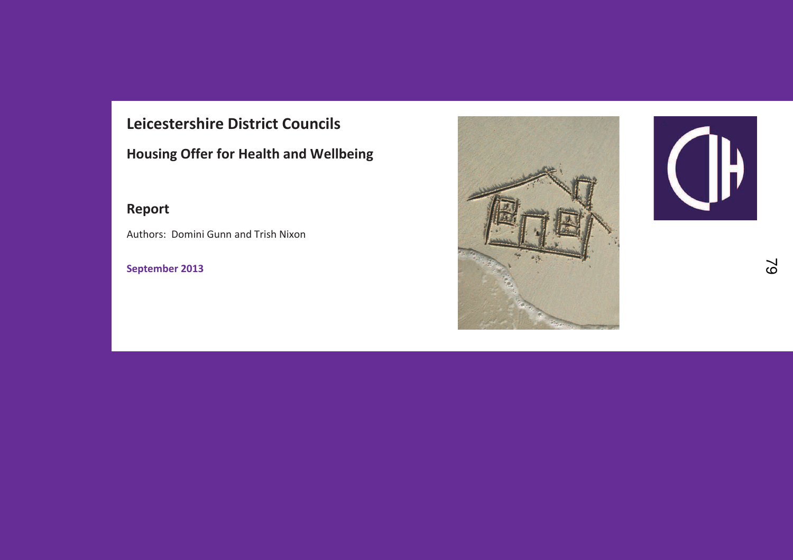## **Leicestershire District Councils**

**Housing Offer for Health and Wellbeing** 

## **Report**

Authors: Domini Gunn and Trish Nixon

**September 2013** 



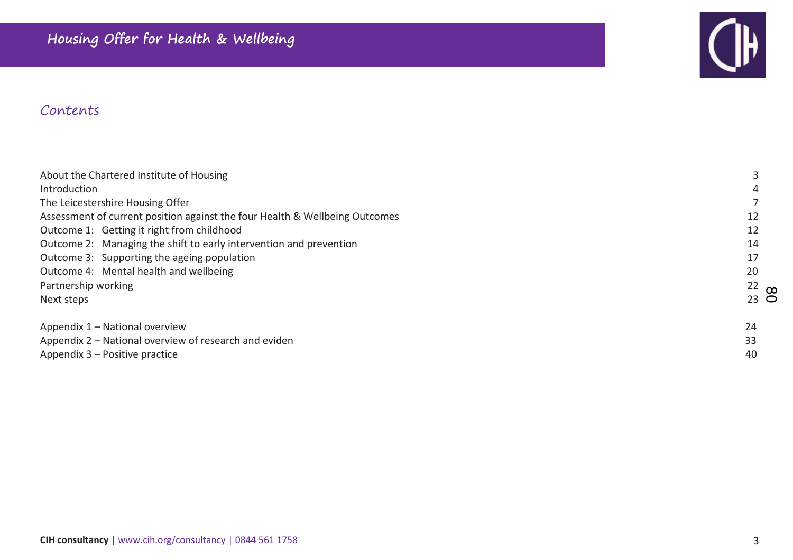

## Contents

| About the Chartered Institute of Housing                                    |                 |  |
|-----------------------------------------------------------------------------|-----------------|--|
| Introduction                                                                |                 |  |
| The Leicestershire Housing Offer                                            |                 |  |
| Assessment of current position against the four Health & Wellbeing Outcomes | 12              |  |
| Outcome 1: Getting it right from childhood                                  | 12              |  |
| Outcome 2: Managing the shift to early intervention and prevention          | 14              |  |
| Outcome 3: Supporting the ageing population                                 | 17              |  |
| Outcome 4: Mental health and wellbeing                                      | 20              |  |
| Partnership working                                                         | $22$ co         |  |
| Next steps                                                                  | $23$ $\bigcirc$ |  |
| Appendix 1 – National overview                                              | 24              |  |
| Appendix 2 – National overview of research and eviden                       |                 |  |
| Appendix 3 – Positive practice                                              |                 |  |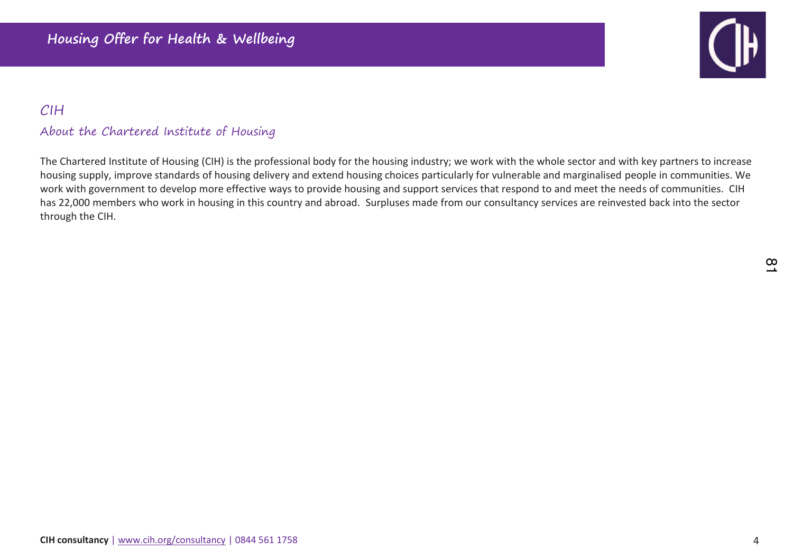

## CIH

#### About the Chartered Institute of Housing

The Chartered Institute of Housing (CIH) is the professional body for the housing industry; we work with the whole sector and with key partners to increase housing supply, improve standards of housing delivery and extend housing choices particularly for vulnerable and marginalised people in communities. We work with government to develop more effective ways to provide housing and support services that respond to and meet the needs of communities. CIH has 22,000 members who work in housing in this country and abroad. Surpluses made from our consultancy services are reinvested back into the sector through the CIH.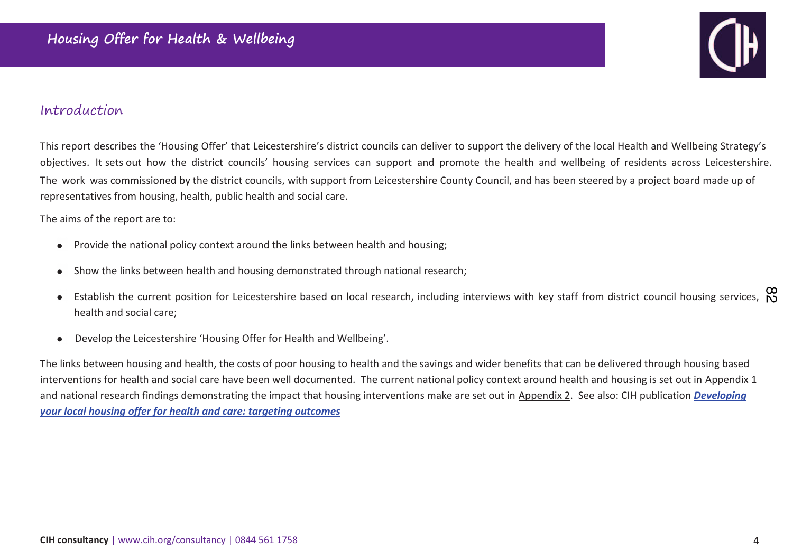

## Introduction

This report describes the 'Housing Offer' that Leicestershire's district councils can deliver to support the delivery of the local Health and Wellbeing Strategy's objectives. It sets out how the district councils' housing services can support and promote the health and wellbeing of residents across Leicestershire.The work was commissioned by the district councils, with support from Leicestershire County Council, and has been steered by a project board made up of representatives from housing, health, public health and social care.

The aims of the report are to:

- Provide the national policy context around the links between health and housing;
- Show the links between health and housing demonstrated through national research;  $\bullet$
- Establish the current position for Leicestershire based on local research, including interviews with key staff from district council housing services,  $\stackrel{\infty}{\infty}$  $\bullet$ health and social care;
- Develop the Leicestershire 'Housing Offer for Health and Wellbeing'.  $\bullet$

The links between housing and health, the costs of poor housing to health and the savings and wider benefits that can be delivered through housing based interventions for health and social care have been well documented. The current national policy context around health and housing is set out in Appendix 1 and national research findings demonstrating the impact that housing interventions make are set out in Appendix 2. See also: CIH publication *Developing your local housing offer for health and care: targeting outcomes*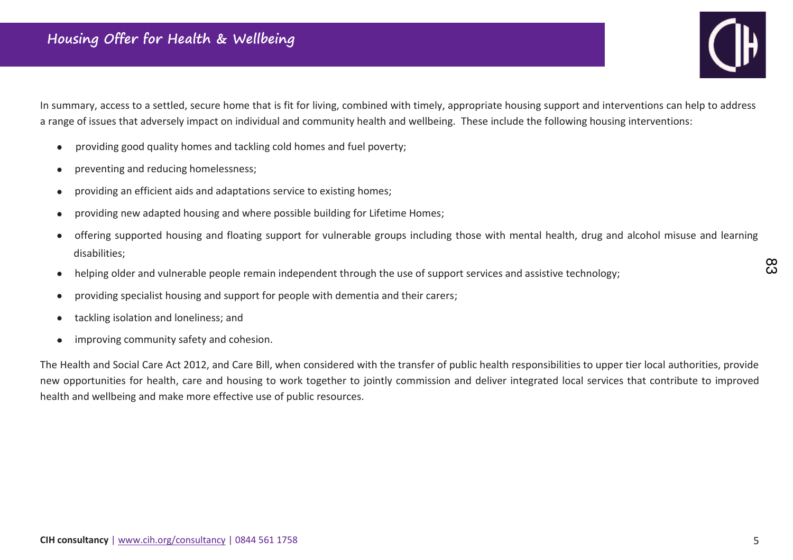

In summary, access to a settled, secure home that is fit for living, combined with timely, appropriate housing support and interventions can help to address a range of issues that adversely impact on individual and community health and wellbeing. These include the following housing interventions:

- providing good quality homes and tackling cold homes and fuel poverty:  $\bullet$
- preventing and reducing homelessness;  $\bullet$
- providing an efficient aids and adaptations service to existing homes;  $\bullet$
- providing new adapted housing and where possible building for Lifetime Homes;  $\bullet$
- offering supported housing and floating support for vulnerable groups including those with mental health, drug and alcohol misuse and learning  $\bullet$ disabilities;
- helping older and vulnerable people remain independent through the use of support services and assistive technology;  $\bullet$
- providing specialist housing and support for people with dementia and their carers;  $\bullet$
- tackling isolation and loneliness; and  $\bullet$
- improving community safety and cohesion.  $\bullet$

The Health and Social Care Act 2012, and Care Bill, when considered with the transfer of public health responsibilities to upper tier local authorities, provide new opportunities for health, care and housing to work together to jointly commission and deliver integrated local services that contribute to improved health and wellbeing and make more effective use of public resources.

ထိ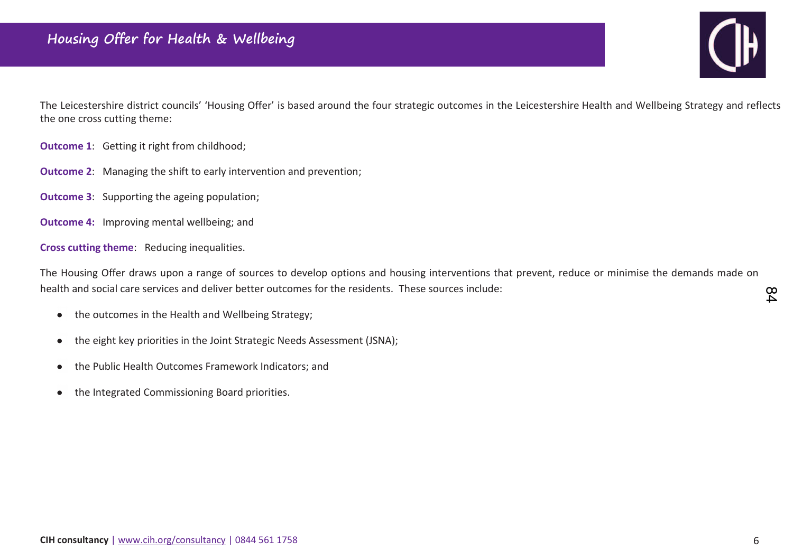

The Leicestershire district councils' 'Housing Offer' is based around the four strategic outcomes in the Leicestershire Health and Wellbeing Strategy and reflects the one cross cutting theme:

- **Outcome 1**: Getting it right from childhood;
- **Outcome 2:** Managing the shift to early intervention and prevention;
- **Outcome 3**: Supporting the ageing population;
- **Outcome 4:** Improving mental wellbeing; and

**Cross cutting theme**: Reducing inequalities.

The Housing Offer draws upon a range of sources to develop options and housing interventions that prevent, reduce or minimise the demands made on health and social care services and deliver better outcomes for the residents. These sources include:

- the outcomes in the Health and Wellbeing Strategy;  $\bullet$
- the eight key priorities in the Joint Strategic Needs Assessment (JSNA);  $\bullet$
- the Public Health Outcomes Framework Indicators; and  $\bullet$
- the Integrated Commissioning Board priorities.  $\bullet$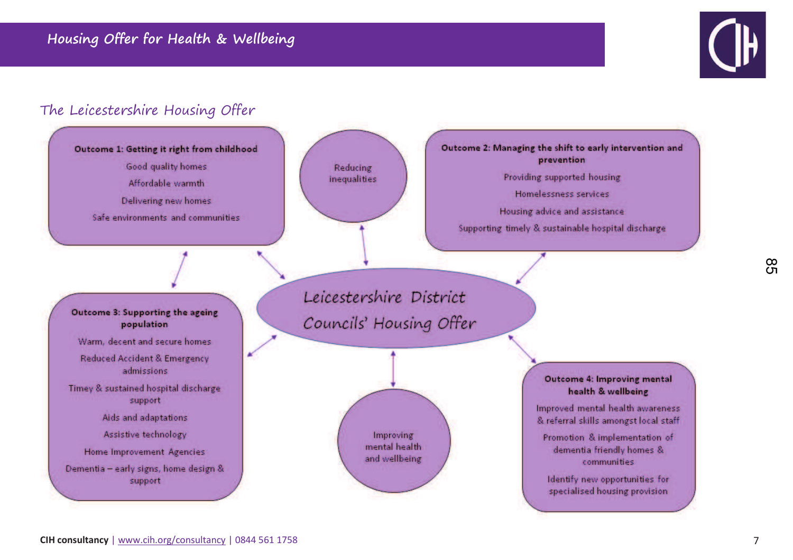

## The Leicestershire Housing Offer

Outcome 1: Getting it right from childhood

Good quality homes Affordable warmth Delivering new homes Safe environments and communities



Outcome 2: Managing the shift to early intervention and prevention Providing supported housing

Homelessness services

Housing advice and assistance Supporting timely & sustainable hospital discharge

#### Outcome 3: Supporting the ageing population

Warm, decent and secure homes Reduced Accident & Emergency admissions

Timey & sustained hospital discharge support

Aids and adaptations

Assistive technology

Home Improvement Agencies

Dementia - early signs, home design & support

Leicestershire District Councils' Housing Offer

> Improving mental health and wellbeing

Outcome 4: Improving mental health & wellbeing

Improved mental health awareness & referral skills amongst local staff

Promotion & implementation of dementia friendly homes & communities

Identify new opportunities for specialised housing provision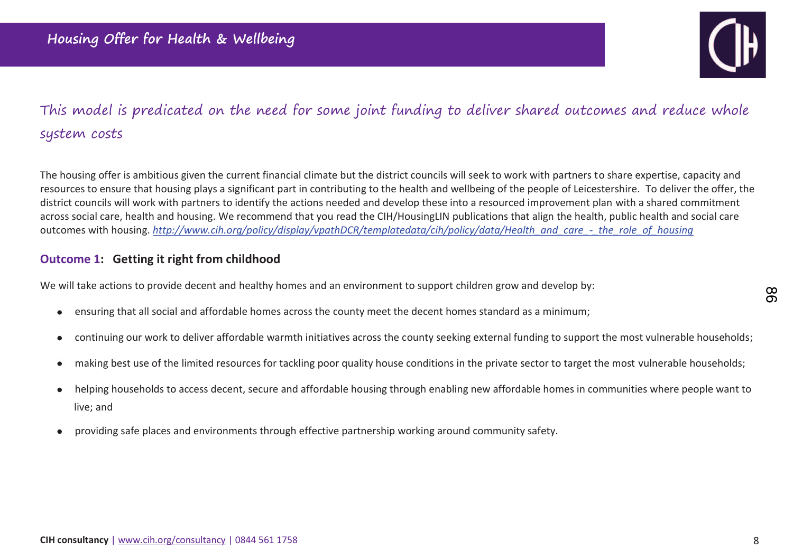

## This model is predicated on the need for some joint funding to deliver shared outcomes and reduce whole system costs

The housing offer is ambitious given the current financial climate but the district councils will seek to work with partners to share expertise, capacity and resources to ensure that housing plays a significant part in contributing to the health and wellbeing of the people of Leicestershire. To deliver the offer, the district councils will work with partners to identify the actions needed and develop these into a resourced improvement plan with a shared commitment across social care, health and housing. We recommend that you read the CIH/HousingLIN publications that align the health, public health and social care outcomes with housing. *http://www.cih.org/policy/display/vpathDCR/templatedata/cih/policy/data/Health\_and\_care\_-\_the\_role\_of\_housing*

### **Outcome 1: Getting it right from childhood**

We will take actions to provide decent and healthy homes and an environment to support children grow and develop by:

- ensuring that all social and affordable homes across the county meet the decent homes standard as a minimum;  $\bullet$
- continuing our work to deliver affordable warmth initiatives across the county seeking external funding to support the most vulnerable households;  $\bullet$
- making best use of the limited resources for tackling poor quality house conditions in the private sector to target the most vulnerable households;  $\bullet$
- helping households to access decent, secure and affordable housing through enabling new affordable homes in communities where people want to  $\bullet$ live; and
- providing safe places and environments through effective partnership working around community safety.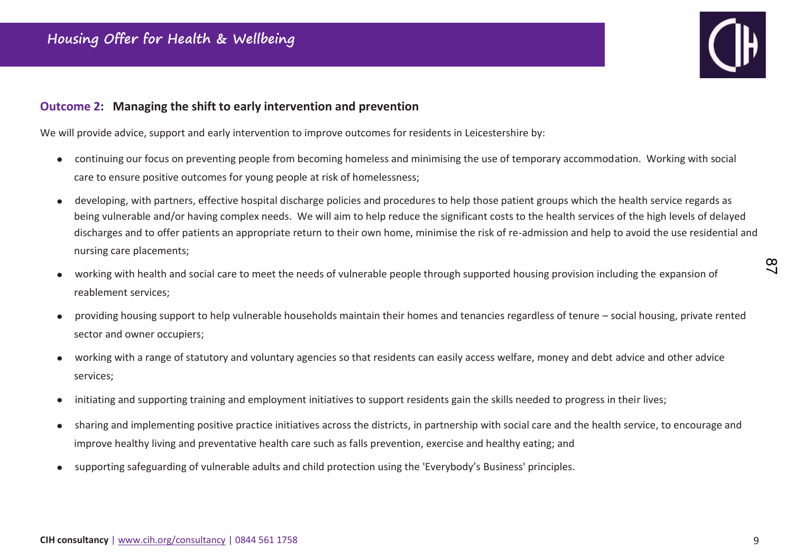

#### **Outcome 2: Managing the shift to early intervention and prevention**

We will provide advice, support and early intervention to improve outcomes for residents in Leicestershire by:

- continuing our focus on preventing people from becoming homeless and minimising the use of temporary accommodation. Working with social  $\bullet$ care to ensure positive outcomes for young people at risk of homelessness;
- developing, with partners, effective hospital discharge policies and procedures to help those patient groups which the health service regards as  $\bullet$ being vulnerable and/or having complex needs. We will aim to help reduce the significant costs to the health services of the high levels of delayed discharges and to offer patients an appropriate return to their own home, minimise the risk of re-admission and help to avoid the use residential and nursing care placements;
- working with health and social care to meet the needs of vulnerable people through supported housing provision including the expansion of reablement services;
- Ɖroviding housing support to help vulnerable households maintain their homes and tenancies regardless of tenure social housing, private rented  $\bullet$ sector and owner occupiers;
- working with a range of statutory and voluntary agencies so that residents can easily access welfare, money and debt advice and other advice services;
- initiating and supporting training and employment initiatives to support residents gain the skills needed to progress in their lives;  $\bullet$
- sharing and implementing positive practice initiatives across the districts, in partnership with social care and the health service, to encourage and  $\bullet$ improve healthy living and preventative health care such as falls prevention, exercise and healthy eating; and
- supporting safeguarding of vulnerable adults and child protection using the 'Everybody's Business' principles.  $\bullet$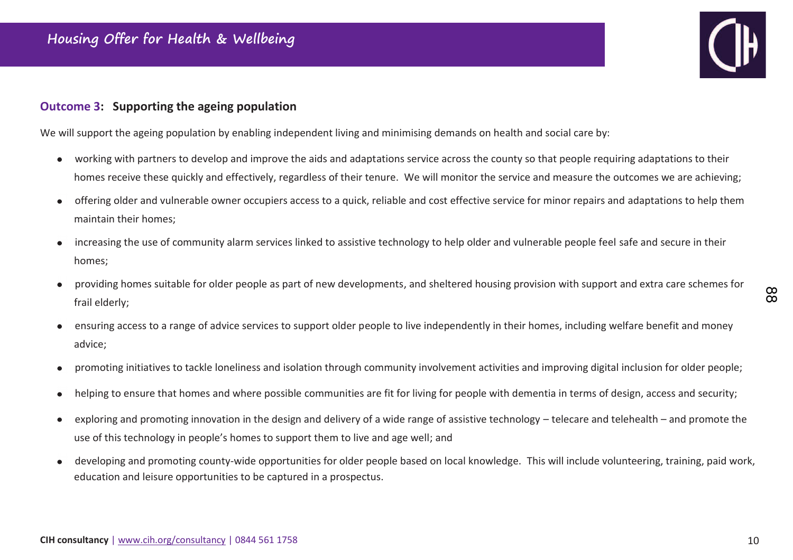### Outcome 3: Supporting the ageing population

We will support the ageing population by enabling independent living and minimising demands on health and social care by:

- working with partners to develop and improve the aids and adaptations service across the county so that people requiring adaptations to their  $\bullet$ homes receive these quickly and effectively, regardless of their tenure. We will monitor the service and measure the outcomes we are achieving;
- offering older and vulnerable owner occupiers access to a quick, reliable and cost effective service for minor repairs and adaptations to help them  $\bullet$ maintain their homes:
- increasing the use of community alarm services linked to assistive technology to help older and vulnerable people feel safe and secure in their  $\bullet$ homes;
- providing homes suitable for older people as part of new developments, and sheltered housing provision with support and extra care schemes for frail elderly;
- ensuring access to a range of advice services to support older people to live independently in their homes, including welfare benefit and money advice;
- promoting initiatives to tackle loneliness and isolation through community involvement activities and improving digital inclusion for older people;  $\bullet$
- helping to ensure that homes and where possible communities are fit for living for people with dementia in terms of design, access and security;  $\bullet$
- exploring and promoting innovation in the design and delivery of a wide range of assistive technology telecare and telehealth and promote the  $\bullet$ use of this technology in people's homes to support them to live and age well; and
- developing and promoting county-wide opportunities for older people based on local knowledge. This will include volunteering, training, paid work,  $\bullet$ education and leisure opportunities to be captured in a prospectus.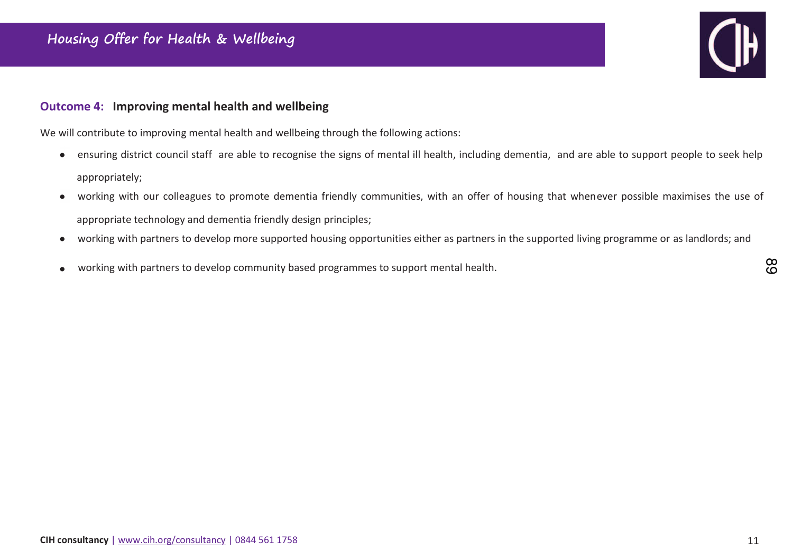# ( ⊪

#### **Outcome 4: Improving mental health and wellbeing**

We will contribute to improving mental health and wellbeing through the following actions:

- ensuring district council staff are able to recognise the signs of mental ill health, including dementia, and are able to support people to seek help  $\bullet$ appropriately;
- working with our colleagues to promote dementia friendly communities, with an offer of housing that whenever possible maximises the use of  $\bullet$ appropriate technology and dementia friendly design principles;
- working with partners to develop more supported housing opportunities either as partners in the supported living programme or as landlords; and  $\bullet$
- working with partners to develop community based programmes to support mental health.  $\bullet$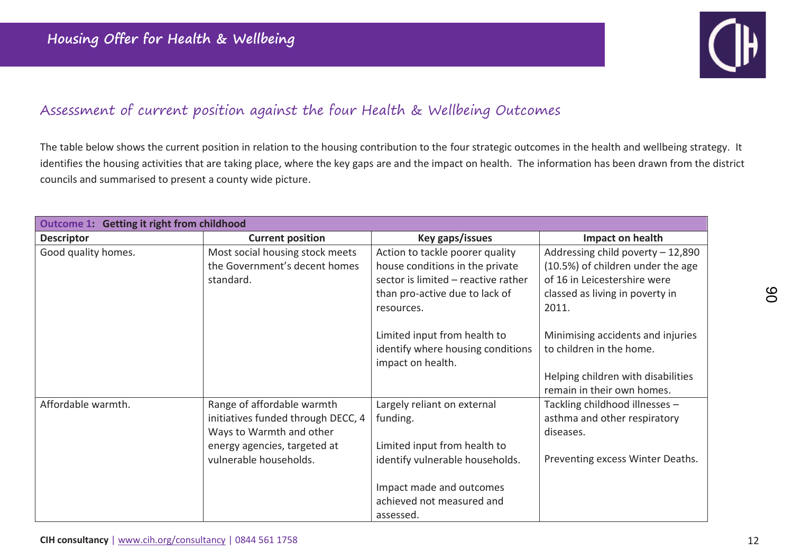

## Assessment of current position against the four Health & Wellbeing Outcomes

The table below shows the current position in relation to the housing contribution to the four strategic outcomes in the health and wellbeing strategy. It identifies the housing activities that are taking place, where the key gaps are and the impact on health. The information has been drawn from the district councils and summarised to present a county wide picture.

| Outcome 1: Getting it right from childhood |                                                                                                                              |                                                                                        |                                                                             |  |
|--------------------------------------------|------------------------------------------------------------------------------------------------------------------------------|----------------------------------------------------------------------------------------|-----------------------------------------------------------------------------|--|
| <b>Descriptor</b>                          | <b>Current position</b>                                                                                                      | Key gaps/issues                                                                        | Impact on health                                                            |  |
| Good quality homes.                        | Most social housing stock meets                                                                                              | Action to tackle poorer quality                                                        | Addressing child poverty - 12,890                                           |  |
|                                            | the Government's decent homes                                                                                                | house conditions in the private                                                        | (10.5%) of children under the age                                           |  |
|                                            | standard.                                                                                                                    | sector is limited - reactive rather                                                    | of 16 in Leicestershire were                                                |  |
|                                            |                                                                                                                              | than pro-active due to lack of                                                         | classed as living in poverty in                                             |  |
|                                            |                                                                                                                              | resources.                                                                             | 2011.                                                                       |  |
|                                            |                                                                                                                              | Limited input from health to<br>identify where housing conditions<br>impact on health. | Minimising accidents and injuries<br>to children in the home.               |  |
|                                            |                                                                                                                              |                                                                                        | Helping children with disabilities<br>remain in their own homes.            |  |
| Affordable warmth.                         | Range of affordable warmth<br>initiatives funded through DECC, 4<br>Ways to Warmth and other<br>energy agencies, targeted at | Largely reliant on external<br>funding.<br>Limited input from health to                | Tackling childhood illnesses -<br>asthma and other respiratory<br>diseases. |  |
|                                            | vulnerable households.                                                                                                       | identify vulnerable households.                                                        | Preventing excess Winter Deaths.                                            |  |
|                                            |                                                                                                                              | Impact made and outcomes<br>achieved not measured and                                  |                                                                             |  |
|                                            |                                                                                                                              | assessed.                                                                              |                                                                             |  |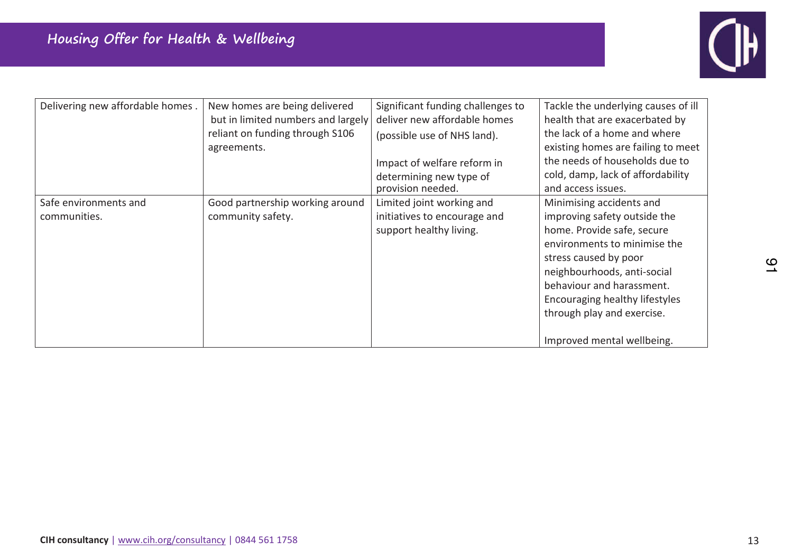

| Delivering new affordable homes.      | New homes are being delivered<br>but in limited numbers and largely<br>reliant on funding through S106<br>agreements. | Significant funding challenges to<br>deliver new affordable homes<br>(possible use of NHS land).<br>Impact of welfare reform in<br>determining new type of<br>provision needed. | Tackle the underlying causes of ill<br>health that are exacerbated by<br>the lack of a home and where<br>existing homes are failing to meet<br>the needs of households due to<br>cold, damp, lack of affordability<br>and access issues.                                                                  |
|---------------------------------------|-----------------------------------------------------------------------------------------------------------------------|---------------------------------------------------------------------------------------------------------------------------------------------------------------------------------|-----------------------------------------------------------------------------------------------------------------------------------------------------------------------------------------------------------------------------------------------------------------------------------------------------------|
| Safe environments and<br>communities. | Good partnership working around<br>community safety.                                                                  | Limited joint working and<br>initiatives to encourage and<br>support healthy living.                                                                                            | Minimising accidents and<br>improving safety outside the<br>home. Provide safe, secure<br>environments to minimise the<br>stress caused by poor<br>neighbourhoods, anti-social<br>behaviour and harassment.<br>Encouraging healthy lifestyles<br>through play and exercise.<br>Improved mental wellbeing. |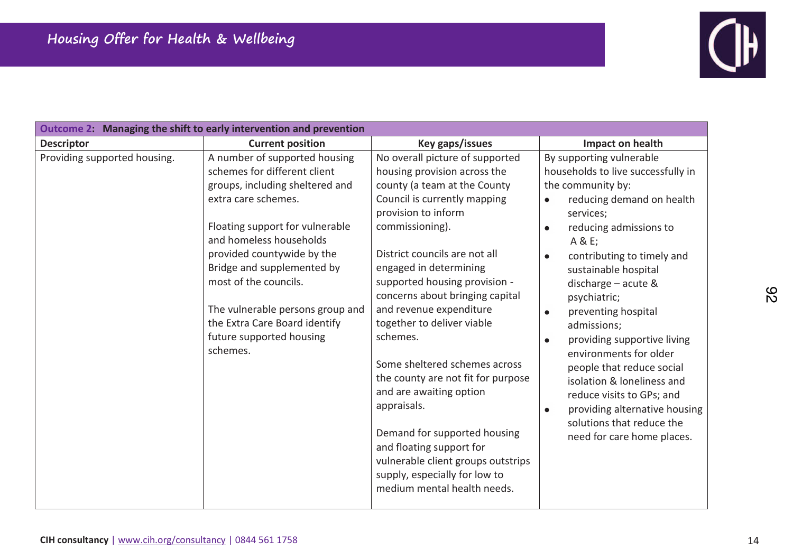

| Outcome 2: Managing the shift to early intervention and prevention                                                                                                                                                                                                                                                                                                                                                      |                                                                                                                                                                                                                                                                                                                                                                                                                                                                                                                                                                                                                                                                  |                                                                                                                                                                                                                                                                                                                                                                                                                                                                                                                                                                                          |
|-------------------------------------------------------------------------------------------------------------------------------------------------------------------------------------------------------------------------------------------------------------------------------------------------------------------------------------------------------------------------------------------------------------------------|------------------------------------------------------------------------------------------------------------------------------------------------------------------------------------------------------------------------------------------------------------------------------------------------------------------------------------------------------------------------------------------------------------------------------------------------------------------------------------------------------------------------------------------------------------------------------------------------------------------------------------------------------------------|------------------------------------------------------------------------------------------------------------------------------------------------------------------------------------------------------------------------------------------------------------------------------------------------------------------------------------------------------------------------------------------------------------------------------------------------------------------------------------------------------------------------------------------------------------------------------------------|
| <b>Current position</b><br><b>Descriptor</b>                                                                                                                                                                                                                                                                                                                                                                            | Key gaps/issues                                                                                                                                                                                                                                                                                                                                                                                                                                                                                                                                                                                                                                                  | Impact on health                                                                                                                                                                                                                                                                                                                                                                                                                                                                                                                                                                         |
| Providing supported housing.<br>A number of supported housing<br>schemes for different client<br>groups, including sheltered and<br>extra care schemes.<br>Floating support for vulnerable<br>and homeless households<br>provided countywide by the<br>Bridge and supplemented by<br>most of the councils.<br>The vulnerable persons group and<br>the Extra Care Board identify<br>future supported housing<br>schemes. | No overall picture of supported<br>housing provision across the<br>county (a team at the County<br>Council is currently mapping<br>provision to inform<br>commissioning).<br>District councils are not all<br>engaged in determining<br>supported housing provision -<br>concerns about bringing capital<br>and revenue expenditure<br>together to deliver viable<br>schemes.<br>Some sheltered schemes across<br>the county are not fit for purpose<br>and are awaiting option<br>appraisals.<br>Demand for supported housing<br>and floating support for<br>vulnerable client groups outstrips<br>supply, especially for low to<br>medium mental health needs. | By supporting vulnerable<br>households to live successfully in<br>the community by:<br>reducing demand on health<br>$\bullet$<br>services;<br>reducing admissions to<br>$\bullet$<br>A & E;<br>contributing to timely and<br>sustainable hospital<br>discharge - acute &<br>psychiatric;<br>preventing hospital<br>$\bullet$<br>admissions;<br>providing supportive living<br>environments for older<br>people that reduce social<br>isolation & loneliness and<br>reduce visits to GPs; and<br>providing alternative housing<br>solutions that reduce the<br>need for care home places. |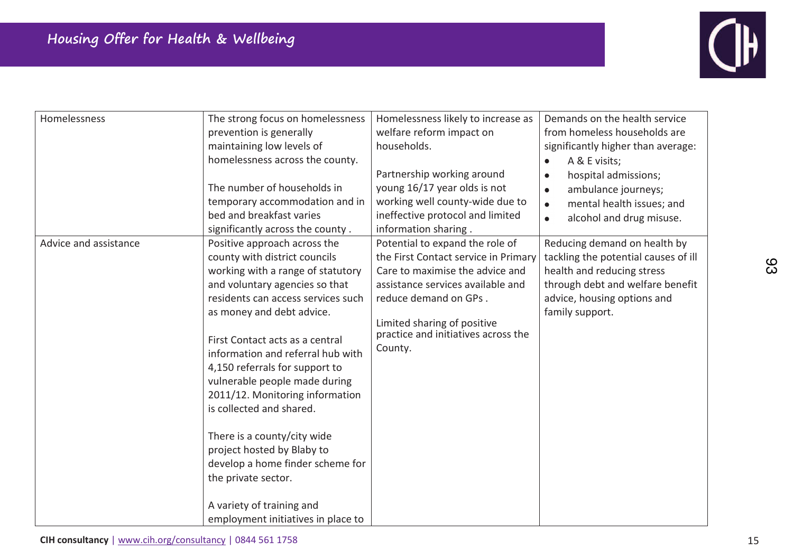

| Homelessness          | The strong focus on homelessness<br>prevention is generally<br>maintaining low levels of<br>homelessness across the county.<br>The number of households in<br>temporary accommodation and in<br>bed and breakfast varies<br>significantly across the county.                                                                                                                                                                                                                                                                                                                                                 | Homelessness likely to increase as<br>welfare reform impact on<br>households.<br>Partnership working around<br>young 16/17 year olds is not<br>working well county-wide due to<br>ineffective protocol and limited<br>information sharing.                | Demands on the health service<br>from homeless households are<br>significantly higher than average:<br>A & E visits;<br>hospital admissions;<br>$\bullet$<br>ambulance journeys;<br>$\bullet$<br>mental health issues; and<br>$\bullet$<br>alcohol and drug misuse.<br>$\bullet$ |
|-----------------------|--------------------------------------------------------------------------------------------------------------------------------------------------------------------------------------------------------------------------------------------------------------------------------------------------------------------------------------------------------------------------------------------------------------------------------------------------------------------------------------------------------------------------------------------------------------------------------------------------------------|-----------------------------------------------------------------------------------------------------------------------------------------------------------------------------------------------------------------------------------------------------------|----------------------------------------------------------------------------------------------------------------------------------------------------------------------------------------------------------------------------------------------------------------------------------|
| Advice and assistance | Positive approach across the<br>county with district councils<br>working with a range of statutory<br>and voluntary agencies so that<br>residents can access services such<br>as money and debt advice.<br>First Contact acts as a central<br>information and referral hub with<br>4,150 referrals for support to<br>vulnerable people made during<br>2011/12. Monitoring information<br>is collected and shared.<br>There is a county/city wide<br>project hosted by Blaby to<br>develop a home finder scheme for<br>the private sector.<br>A variety of training and<br>employment initiatives in place to | Potential to expand the role of<br>the First Contact service in Primary<br>Care to maximise the advice and<br>assistance services available and<br>reduce demand on GPs.<br>Limited sharing of positive<br>practice and initiatives across the<br>County. | Reducing demand on health by<br>tackling the potential causes of ill<br>health and reducing stress<br>through debt and welfare benefit<br>advice, housing options and<br>family support.                                                                                         |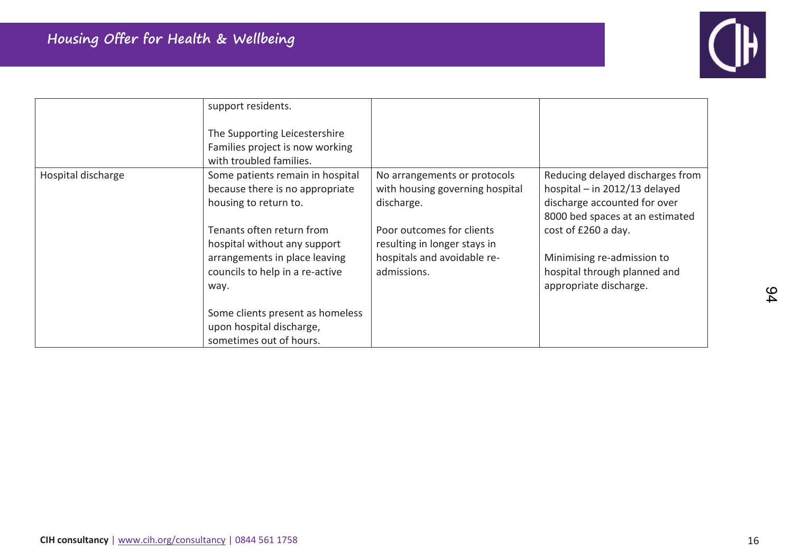

|                    | support residents.<br>The Supporting Leicestershire<br>Families project is now working<br>with troubled families. |                                                                               |                                                                                                                                      |
|--------------------|-------------------------------------------------------------------------------------------------------------------|-------------------------------------------------------------------------------|--------------------------------------------------------------------------------------------------------------------------------------|
| Hospital discharge | Some patients remain in hospital<br>because there is no appropriate<br>housing to return to.                      | No arrangements or protocols<br>with housing governing hospital<br>discharge. | Reducing delayed discharges from<br>hospital - in 2012/13 delayed<br>discharge accounted for over<br>8000 bed spaces at an estimated |
|                    | Tenants often return from<br>hospital without any support                                                         | Poor outcomes for clients<br>resulting in longer stays in                     | cost of £260 a day.                                                                                                                  |
|                    | arrangements in place leaving<br>councils to help in a re-active<br>way.                                          | hospitals and avoidable re-<br>admissions.                                    | Minimising re-admission to<br>hospital through planned and<br>appropriate discharge.                                                 |
|                    | Some clients present as homeless<br>upon hospital discharge,<br>sometimes out of hours.                           |                                                                               |                                                                                                                                      |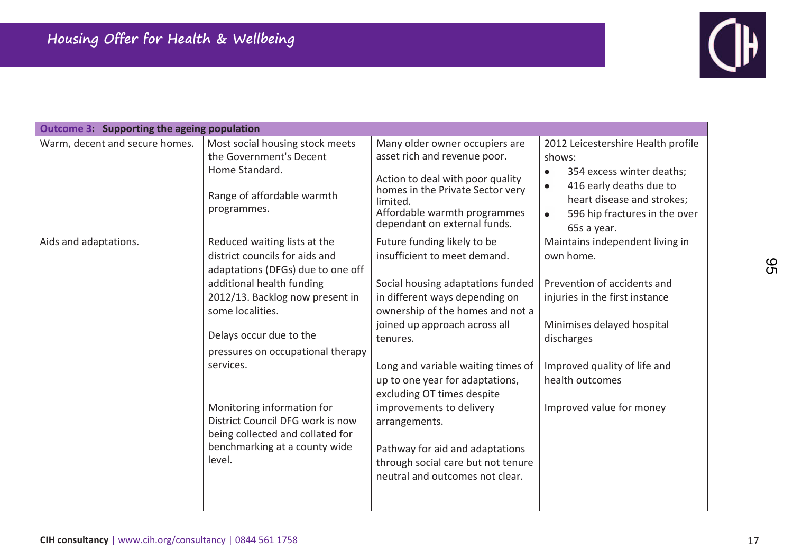

| <b>Outcome 3: Supporting the ageing population</b> |                                                                                                                                                                                                                                                                                                                                                                                                                       |                                                                                                                                                                                                                                                                                                                                                                                                                                                                                     |                                                                                                                                                                                                                                          |
|----------------------------------------------------|-----------------------------------------------------------------------------------------------------------------------------------------------------------------------------------------------------------------------------------------------------------------------------------------------------------------------------------------------------------------------------------------------------------------------|-------------------------------------------------------------------------------------------------------------------------------------------------------------------------------------------------------------------------------------------------------------------------------------------------------------------------------------------------------------------------------------------------------------------------------------------------------------------------------------|------------------------------------------------------------------------------------------------------------------------------------------------------------------------------------------------------------------------------------------|
| Warm, decent and secure homes.                     | Most social housing stock meets<br>the Government's Decent<br>Home Standard.<br>Range of affordable warmth<br>programmes.                                                                                                                                                                                                                                                                                             | Many older owner occupiers are<br>asset rich and revenue poor.<br>Action to deal with poor quality<br>homes in the Private Sector very<br>limited.<br>Affordable warmth programmes<br>dependant on external funds.                                                                                                                                                                                                                                                                  | 2012 Leicestershire Health profile<br>shows:<br>354 excess winter deaths;<br>416 early deaths due to<br>$\bullet$<br>heart disease and strokes;<br>596 hip fractures in the over<br>$\bullet$<br>65s a year.                             |
| Aids and adaptations.                              | Reduced waiting lists at the<br>district councils for aids and<br>adaptations (DFGs) due to one off<br>additional health funding<br>2012/13. Backlog now present in<br>some localities.<br>Delays occur due to the<br>pressures on occupational therapy<br>services.<br>Monitoring information for<br>District Council DFG work is now<br>being collected and collated for<br>benchmarking at a county wide<br>level. | Future funding likely to be<br>insufficient to meet demand.<br>Social housing adaptations funded<br>in different ways depending on<br>ownership of the homes and not a<br>joined up approach across all<br>tenures.<br>Long and variable waiting times of<br>up to one year for adaptations,<br>excluding OT times despite<br>improvements to delivery<br>arrangements.<br>Pathway for aid and adaptations<br>through social care but not tenure<br>neutral and outcomes not clear. | Maintains independent living in<br>own home.<br>Prevention of accidents and<br>injuries in the first instance<br>Minimises delayed hospital<br>discharges<br>Improved quality of life and<br>health outcomes<br>Improved value for money |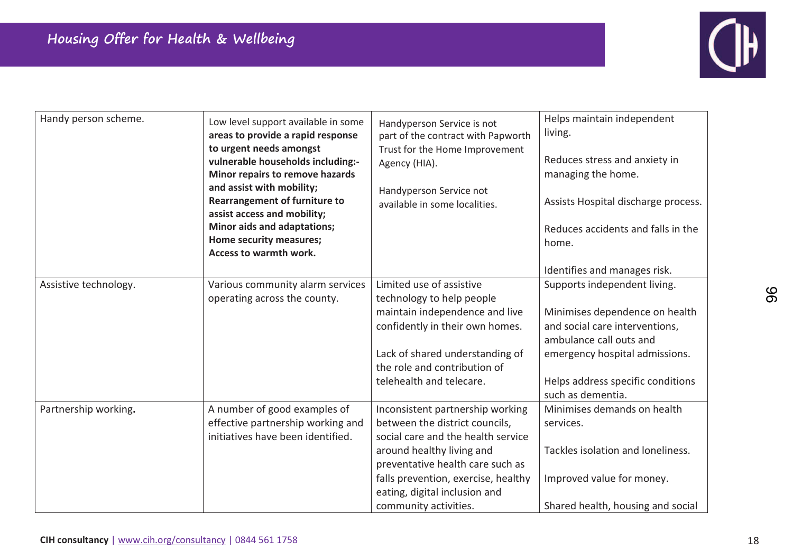

| Handy person scheme.  | Low level support available in some<br>areas to provide a rapid response<br>to urgent needs amongst<br>vulnerable households including:-<br>Minor repairs to remove hazards<br>and assist with mobility;<br><b>Rearrangement of furniture to</b><br>assist access and mobility;<br>Minor aids and adaptations;<br>Home security measures;<br>Access to warmth work. | Handyperson Service is not<br>part of the contract with Papworth<br>Trust for the Home Improvement<br>Agency (HIA).<br>Handyperson Service not<br>available in some localities.                                                                                            | Helps maintain independent<br>living.<br>Reduces stress and anxiety in<br>managing the home.<br>Assists Hospital discharge process.<br>Reduces accidents and falls in the<br>home.<br>Identifies and manages risk.      |
|-----------------------|---------------------------------------------------------------------------------------------------------------------------------------------------------------------------------------------------------------------------------------------------------------------------------------------------------------------------------------------------------------------|----------------------------------------------------------------------------------------------------------------------------------------------------------------------------------------------------------------------------------------------------------------------------|-------------------------------------------------------------------------------------------------------------------------------------------------------------------------------------------------------------------------|
| Assistive technology. | Various community alarm services<br>operating across the county.                                                                                                                                                                                                                                                                                                    | Limited use of assistive<br>technology to help people<br>maintain independence and live<br>confidently in their own homes.<br>Lack of shared understanding of<br>the role and contribution of<br>telehealth and telecare.                                                  | Supports independent living.<br>Minimises dependence on health<br>and social care interventions,<br>ambulance call outs and<br>emergency hospital admissions.<br>Helps address specific conditions<br>such as dementia. |
| Partnership working.  | A number of good examples of<br>effective partnership working and<br>initiatives have been identified.                                                                                                                                                                                                                                                              | Inconsistent partnership working<br>between the district councils,<br>social care and the health service<br>around healthy living and<br>preventative health care such as<br>falls prevention, exercise, healthy<br>eating, digital inclusion and<br>community activities. | Minimises demands on health<br>services.<br>Tackles isolation and loneliness.<br>Improved value for money.<br>Shared health, housing and social                                                                         |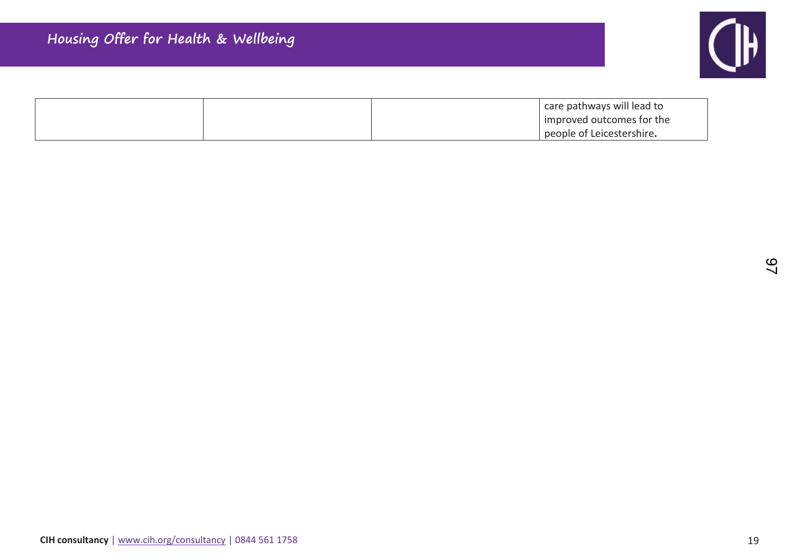

|  | care pathways will lead to |
|--|----------------------------|
|  | improved outcomes for the  |
|  | people of Leicestershire.  |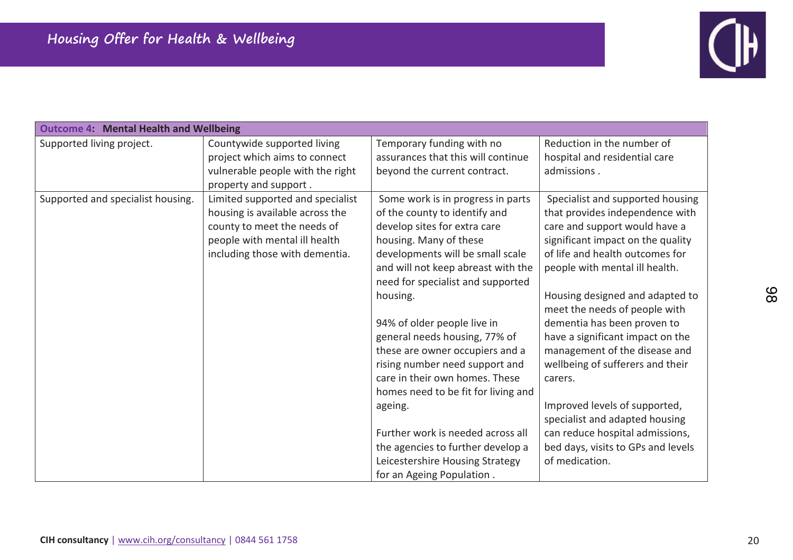

| <b>Outcome 4: Mental Health and Wellbeing</b> |                                  |                                     |                                    |
|-----------------------------------------------|----------------------------------|-------------------------------------|------------------------------------|
| Supported living project.                     | Countywide supported living      | Temporary funding with no           | Reduction in the number of         |
|                                               | project which aims to connect    | assurances that this will continue  | hospital and residential care      |
|                                               | vulnerable people with the right | beyond the current contract.        | admissions.                        |
|                                               | property and support.            |                                     |                                    |
| Supported and specialist housing.             | Limited supported and specialist | Some work is in progress in parts   | Specialist and supported housing   |
|                                               | housing is available across the  | of the county to identify and       | that provides independence with    |
|                                               | county to meet the needs of      | develop sites for extra care        | care and support would have a      |
|                                               | people with mental ill health    | housing. Many of these              | significant impact on the quality  |
|                                               | including those with dementia.   | developments will be small scale    | of life and health outcomes for    |
|                                               |                                  | and will not keep abreast with the  | people with mental ill health.     |
|                                               |                                  | need for specialist and supported   |                                    |
|                                               |                                  | housing.                            | Housing designed and adapted to    |
|                                               |                                  |                                     | meet the needs of people with      |
|                                               |                                  | 94% of older people live in         | dementia has been proven to        |
|                                               |                                  | general needs housing, 77% of       | have a significant impact on the   |
|                                               |                                  | these are owner occupiers and a     | management of the disease and      |
|                                               |                                  | rising number need support and      | wellbeing of sufferers and their   |
|                                               |                                  | care in their own homes. These      | carers.                            |
|                                               |                                  | homes need to be fit for living and |                                    |
|                                               |                                  | ageing.                             | Improved levels of supported,      |
|                                               |                                  |                                     | specialist and adapted housing     |
|                                               |                                  | Further work is needed across all   | can reduce hospital admissions,    |
|                                               |                                  | the agencies to further develop a   | bed days, visits to GPs and levels |
|                                               |                                  | Leicestershire Housing Strategy     | of medication.                     |
|                                               |                                  | for an Ageing Population.           |                                    |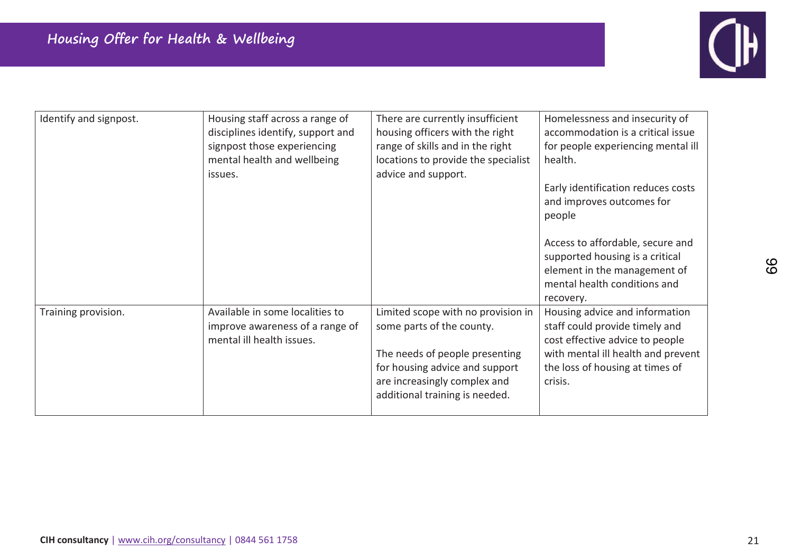

| Identify and signpost. | Housing staff across a range of<br>disciplines identify, support and<br>signpost those experiencing<br>mental health and wellbeing<br>issues. | There are currently insufficient<br>housing officers with the right<br>range of skills and in the right<br>locations to provide the specialist<br>advice and support.                                 | Homelessness and insecurity of<br>accommodation is a critical issue<br>for people experiencing mental ill<br>health.<br>Early identification reduces costs<br>and improves outcomes for<br>people<br>Access to affordable, secure and<br>supported housing is a critical<br>element in the management of<br>mental health conditions and<br>recovery. |
|------------------------|-----------------------------------------------------------------------------------------------------------------------------------------------|-------------------------------------------------------------------------------------------------------------------------------------------------------------------------------------------------------|-------------------------------------------------------------------------------------------------------------------------------------------------------------------------------------------------------------------------------------------------------------------------------------------------------------------------------------------------------|
| Training provision.    | Available in some localities to<br>improve awareness of a range of<br>mental ill health issues.                                               | Limited scope with no provision in<br>some parts of the county.<br>The needs of people presenting<br>for housing advice and support<br>are increasingly complex and<br>additional training is needed. | Housing advice and information<br>staff could provide timely and<br>cost effective advice to people<br>with mental ill health and prevent<br>the loss of housing at times of<br>crisis.                                                                                                                                                               |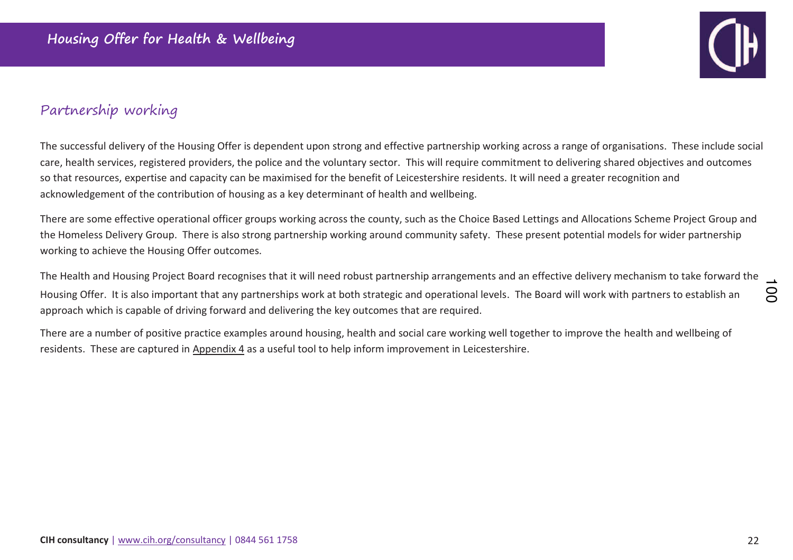

## Partnership working

The successful delivery of the Housing Offer is dependent upon strong and effective partnership working across a range of organisations. These include social care, health services, registered providers, the police and the voluntary sector. This will require commitment to delivering shared objectives and outcomes so that resources, expertise and capacity can be maximised for the benefit of Leicestershire residents. It will need a greater recognition and acknowledgement of the contribution of housing as a key determinant of health and wellbeing.

There are some effective operational officer groups working across the county, such as the Choice Based Lettings and Allocations Scheme Project Group and the Homeless Delivery Group. There is also strong partnership working around community safety. These present potential models for wider partnership working to achieve the Housing Offer outcomes.

The Health and Housing Project Board recognises that it will need robust partnership arrangements and an effective delivery mechanism to take forward the Housing Offer. It is also important that any partnerships work at both strategic and operational levels. The Board will work with partners to establish an approach which is capable of driving forward and delivering the key outcomes that are required.  $\infty$ 

There are a number of positive practice examples around housing, health and social care working well together to improve the health and wellbeing of residents. These are captured in Appendix 4 as a useful tool to help inform improvement in Leicestershire.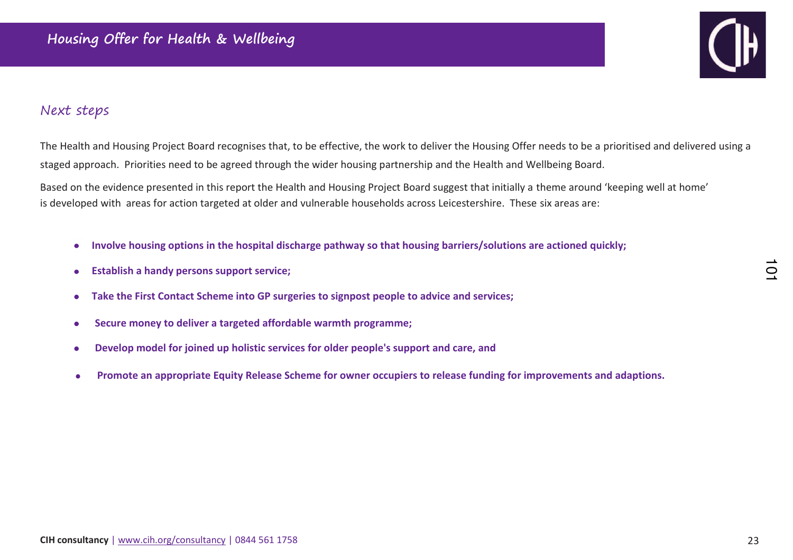## Next steps

The Health and Housing Project Board recognises that, to be effective, the work to deliver the Housing Offer needs to be a prioritised and delivered using a staged approach. Priorities need to be agreed through the wider housing partnership and the Health and Wellbeing Board.

Based on the evidence presented in this report the Health and Housing Project Board suggest that initially a theme around 'keeping well at home' is developed with areas for action targeted at older and vulnerable households across Leicestershire. These six areas are:

- **Involve housing options in the hospital discharge pathway so that housing barriers/solutions are actioned quickly;** $\bullet$
- **Establish a handy persons support service;** $\bullet$
- **Take the First Contact Scheme into GP surgeries to signpost people to advice and services;** $\bullet$
- **Secure money to deliver a targeted affordable warmth programme;**  $\bullet$
- **Develop model for joined up holistic services for older people's support and care, and**  $\bullet$
- **Promote an appropriate Equity Release Scheme for owner occupiers to release funding for improvements and adaptions.**

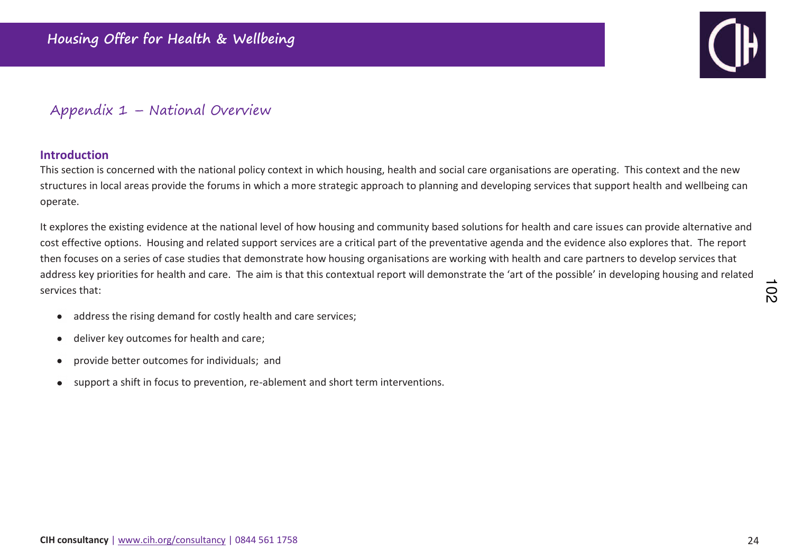

## Appendix 1 – National Overview

#### **Introduction**

This section is concerned with the national policy context in which housing, health and social care organisations are operating. This context and the new structures in local areas provide the forums in which a more strategic approach to planning and developing services that support health and wellbeing can operate.

It explores the existing evidence at the national level of how housing and community based solutions for health and care issues can provide alternative and cost effective options. Housing and related support services are a critical part of the preventative agenda and the evidence also explores that. The report then focuses on a series of case studies that demonstrate how housing organisations are working with health and care partners to develop services that address key priorities for health and care. The aim is that this contextual report will demonstrate the 'art of the possible' in developing housing and related services that:

- address the rising demand for costly health and care services;  $\bullet$
- deliver key outcomes for health and care;  $\bullet$
- provide better outcomes for individuals; and  $\bullet$
- support a shift in focus to prevention, re-ablement and short term interventions.  $\bullet$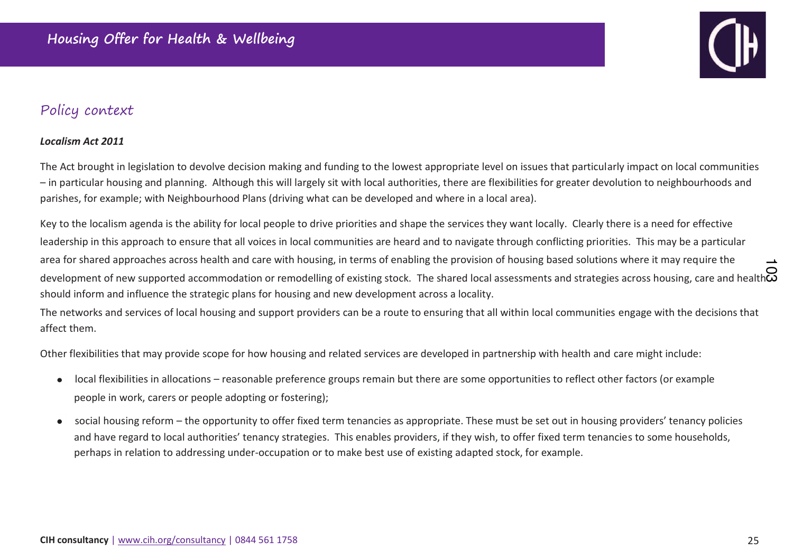

## Policy context

#### *Localism Act 2011*

The Act brought in legislation to devolve decision making and funding to the lowest appropriate level on issues that particularly impact on local communities<br>- in particular housing and planning. Although this will largely parishes, for example; with Neighbourhood Plans (driving what can be developed and where in a local area).

Key to the localism agenda is the ability for local people to drive priorities and shape the services they want locally. Clearly there is a need for effective leadership in this approach to ensure that all voices in local communities are heard and to navigate through conflicting priorities. This may be a particular area for shared approaches across health and care with housing, in terms of enabling the provision of housing based solutions where it may require the area for shared approaches across health and care with housing, in terms of enabling the provision of housing based solutions where it may require the Q<br>Q<br>development of new supported accommodation or remodelling of existi should inform and influence the strategic plans for housing and new development across a locality.

The networks and services of local housing and support providers can be a route to ensuring that all within local communities engage with the decisions that affect them.

Other flexibilities that may provide scope for how housing and related services are developed in partnership with health and care might include:

- local flexibilities in allocations reasonable preference groups remain but there are some opportunities to reflect other factors (or example  $\bullet$ people in work, carers or people adopting or fostering);
- social housing reform the opportunity to offer fixed term tenancies as appropriate. These must be set out in housing providers' tenancy policies  $\bullet$ and have regard to local authorities' tenancy strategies. This enables providers, if they wish, to offer fixed term tenancies to some households, perhaps in relation to addressing under-occupation or to make best use of existing adapted stock, for example.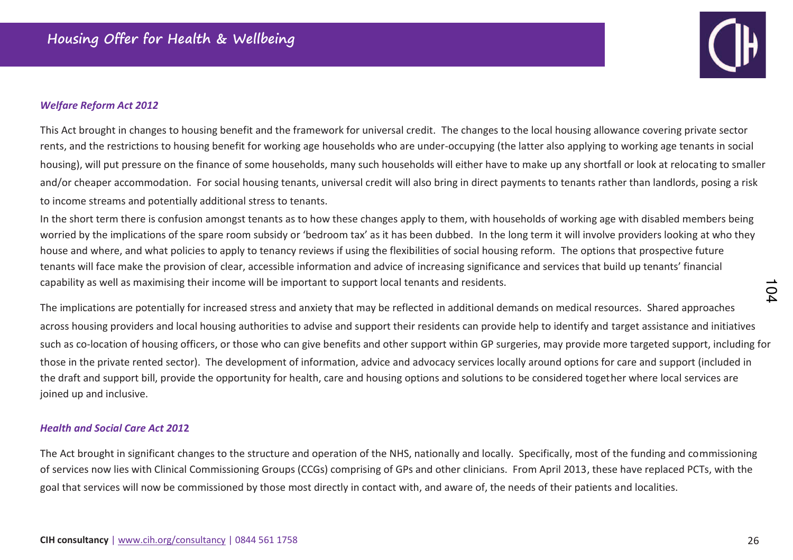

#### *Welfare Reform Act 2012*

This ct brought in changes to housing benefit and the framework for universal credit. The changes to the local housing allowance covering private sector rents, and the restrictions to housing benefit for working age households who are under-occupying (the latter also applying to working age tenants in social housing), will put pressure on the finance of some households, many such households will either have to make up any shortfall or look at relocating to smaller and/or cheaper accommodation. For social housing tenants, universal credit will also bring in direct payments to tenants rather than landlords, posing a risk to income streams and potentially additional stress to tenants.

In the short term there is confusion amongst tenants as to how these changes apply to them, with households of working age with disabled members being worried by the implications of the spare room subsidy or 'bedroom tax' as it has been dubbed. In the long term it will involve providers looking at who they house and where, and what policies to apply to tenancy reviews if using the flexibilities of social housing reform. The options that prospective future tenants will face make the provision of clear, accessible information and advice of increasing significance and services that build up tenants' financial capability as well as maximising their income will be important to support local tenants and residents.

The implications are potentially for increased stress and anxiety that may be reflected in additional demands on medical resources. Shared approaches across housing providers and local housing authorities to advise and support their residents can provide help to identify and target assistance and initiatives such as co-location of housing officers, or those who can give benefits and other support within GP surgeries, may provide more targeted support, including for those in the private rented sector). The development of information, advice and advocacy services locally around options for care and support (included in the draft and support bill, provide the opportunity for health, care and housing options and solutions to be considered together where local services are joined up and inclusive.

#### *Health and Social Care Act 201***2**

The Act brought in significant changes to the structure and operation of the NHS, nationally and locally. Specifically, most of the funding and commissioning of services now lies with Clinical Commissioning Groups (CCGs) comprising of GPs and other clinicians. From April 2013, these have replaced PCTs, with the goal that services will now be commissioned by those most directly in contact with, and aware of, the needs of their patients and localities.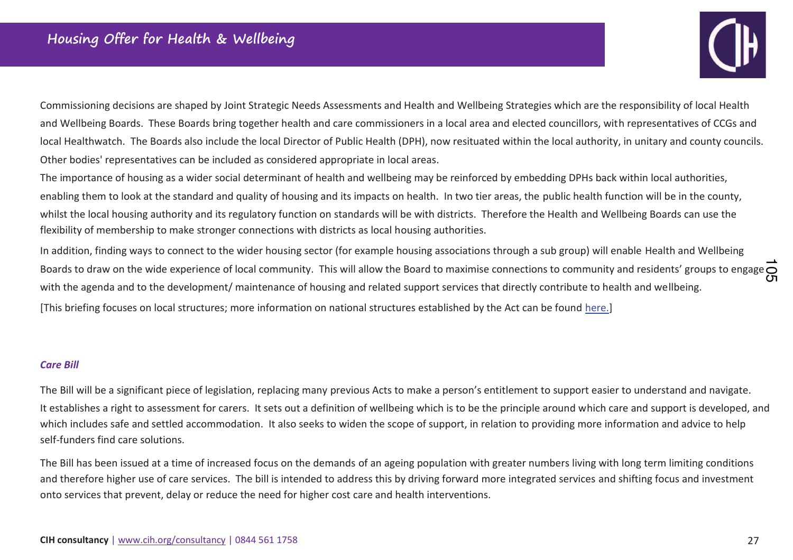

Commissioning decisions are shaped by Joint Strategic Needs Assessments and Health and Wellbeing Strategies which are the responsibility of local Health and Wellbeing Boards. These Boards bring together health and care commissioners in a local area and elected councillors, with representatives of CCGs and local Healthwatch. The Boards also include the local Director of Public Health (DPH), now resituated within the local authority, in unitary and county councils. Other bodies' representatives can be included as considered appropriate in local areas.

The importance of housing as a wider social determinant of health and wellbeing may be reinforced by embedding DPHs back within local authorities, enabling them to look at the standard and quality of housing and its impacts on health. In two tier areas, the public health function will be in the county, whilst the local housing authority and its regulatory function on standards will be with districts. Therefore the Health and Wellbeing Boards can use the flexibility of membership to make stronger connections with districts as local housing authorities.

In addition, finding ways to connect to the wider housing sector (for example housing associations through a sub group) will enable Health and Wellbeing 上<br>Boards to draw on the wide experience of local community. This will allow the Board to maximise connections to community and residents' groups to engage ←<br>Γ with the agenda and to the development/ maintenance of housing and related support services that directly contribute to health and wellbeing.

[This briefing focuses on local structures; more information on national structures established by the Act can be found here.]

#### *Care Bill*

The Bill will be a significant piece of legislation, replacing many previous Acts to make a person's entitlement to support easier to understand and navigate. It establishes a right to assessment for carers. It sets out a definition of wellbeing which is to be the principle around which care and support is developed, and which includes safe and settled accommodation. It also seeks to widen the scope of support, in relation to providing more information and advice to help self-funders find care solutions.

The Bill has been issued at a time of increased focus on the demands of an ageing population with greater numbers living with long term limiting conditions and therefore higher use of care services. The bill is intended to address this by driving forward more integrated services and shifting focus and investmentonto services that prevent, delay or reduce the need for higher cost care and health interventions.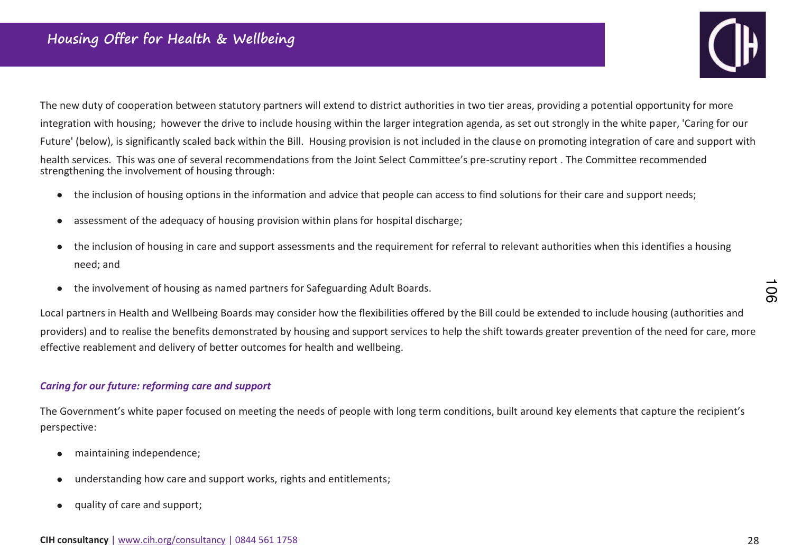

The new duty of cooperation between statutory partners will extend to district authorities in two tier areas, providing a potential opportunity for more integration with housing; however the drive to include housing within the larger integration agenda, as set out strongly in the white paper, 'Caring for our Future' (below), is significantly scaled back within the Bill. Housing provision is not included in the clause on promoting integration of care and support with health services. This was one of several recommendations from the Joint Select Committee's pre-scrutiny report . The Committee recommended strengthening the involvement of housing through:

- the inclusion of housing options in the information and advice that people can access to find solutions for their care and support needs;  $\bullet$
- assessment of the adequacy of housing provision within plans for hospital discharge;  $\bullet$
- the inclusion of housing in care and support assessments and the requirement for referral to relevant authorities when this identifies a housing  $\bullet$ need; and
- the involvement of housing as named partners for Safeguarding Adult Boards.  $\bullet$

Local partners in Health and Wellbeing Boards may consider how the flexibilities offered by the Bill could be extended to include housing (authorities and providers) and to realise the benefits demonstrated by housing and support services to help the shift towards greater prevention of the need for care, more effective reablement and delivery of better outcomes for health and wellbeing.

#### *Caring for our future: reforming care and support*

The Government's white paper focused on meeting the needs of people with long term conditions, built around key elements that capture the recipient's perspective:

- maintaining independence;  $\bullet$
- understanding how care and support works, rights and entitlements;
- quality of care and support;  $\bullet$

 $\overline{5}$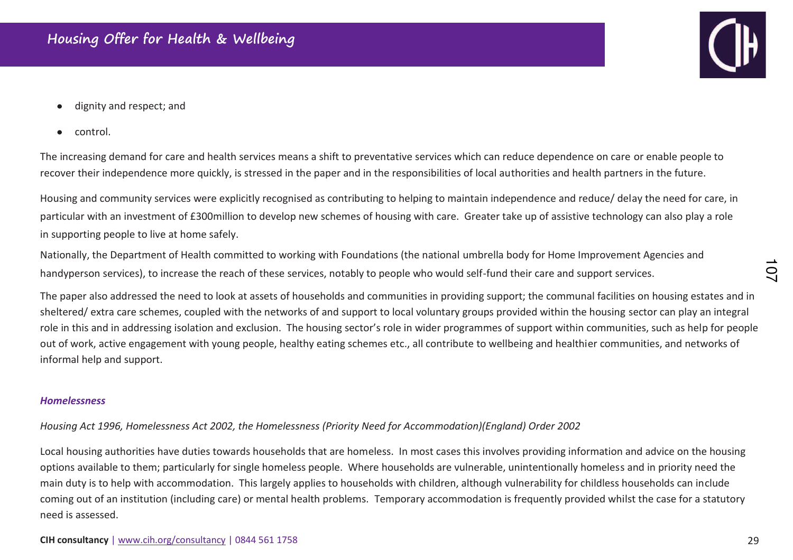- dignity and respect; and
- control.  $\bullet$

The increasing demand for care and health services means a shift to preventative services which can reduce dependence on care or enable people to recover their independence more quickly, is stressed in the paper and in the responsibilities of local authorities and health partners in the future.

Housing and community services were explicitly recognised as contributing to helping to maintain independence and reduce/ delay the need for care, in particular with an investment of £300million to develop new schemes of housing with care. Greater take up of assistive technology can also play a role in supporting people to live at home safely.

Nationally, the Department of Health committed to working with Foundations (the national umbrella body for Home Improvement Agencies and handyperson servicesͿ, to increase the reach of these services, notably to people who would self-fund their care and support services.

The paper also addressed the need to look at assets of households and communities in providing support; the communal facilities on housing estates and in sheltered/ extra care schemes, coupled with the networks of and support to local voluntary groups provided within the housing sector can play an integral role in this and in addressing isolation and exclusion. The housing sector's role in wider programmes of support within communities, such as help for people out of work, active engagement with young people, healthy eating schemes etc., all contribute to wellbeing and healthier communities, and networks of informal help and support.

#### *Homelessness*

*Housing Act 1996, Homelessness Act 2002, the Homelessness (Priority Need for Accommodation)(England) Order 2002* 

Local housing authorities have duties towards households that are homeless. In most cases this involves providing information and advice on the housing options available to them; particularly for single homeless people. Where households are vulnerable, unintentionally homeless and in priority need the main duty is to help with accommodation. This largely applies to households with children, although vulnerability for childless households can include coming out of an institution (including care) or mental health problems. Temporary accommodation is frequently provided whilst the case for a statutory need is assessed.

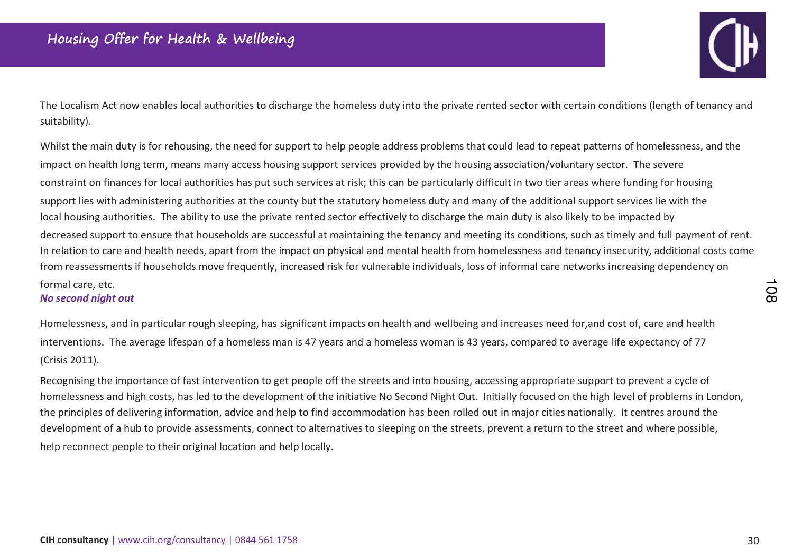

The Localism Act now enables local authorities to discharge the homeless duty into the private rented sector with certain conditions (length of tenancy and suitability).

Whilst the main duty is for rehousing, the need for support to help people address problems that could lead to repeat patterns of homelessness, and the impact on health long term, means many access housing support services provided by the housing association/voluntary sector. The severe constraint on finances for local authorities has put such services at risk; this can be particularly difficult in two tier areas where funding for housing support lies with administering authorities at the county but the statutory homeless duty and many of the additional support services lie with the local housing authorities. The ability to use the private rented sector effectively to discharge the main duty is also likely to be impacted by decreased support to ensure that households are successful at maintaining the tenancy and meeting its conditions, such as timely and full payment of rent. In relation to care and health needs, apart from the impact on physical and mental health from homelessness and tenancy insecurity, additional costs come from reassessments if households move frequently, increased risk for vulnerable individuals, loss of informal care networks increasing dependency on formal care, etc. No second night out

Homelessness, and in particular rough sleeping, has significant impacts on health and wellbeing and increases need for, and cost of, care and health interventions. The average lifespan of a homeless man is 47 years and a homeless woman is 43 years, compared to average life expectancy of 77 (Crisis 2011).

Recognising the importance of fast intervention to get people off the streets and into housing, accessing appropriate support to prevent a cycle of homelessness and high costs, has led to the development of the initiative No Second Night Out. Initially focused on the high level of problems in London, the principles of delivering information, advice and help to find accommodation has been rolled out in major cities nationally. It centres around the development of a hub to provide assessments, connect to alternatives to sleeping on the streets, prevent a return to the street and where possible, help reconnect people to their original location and help locally.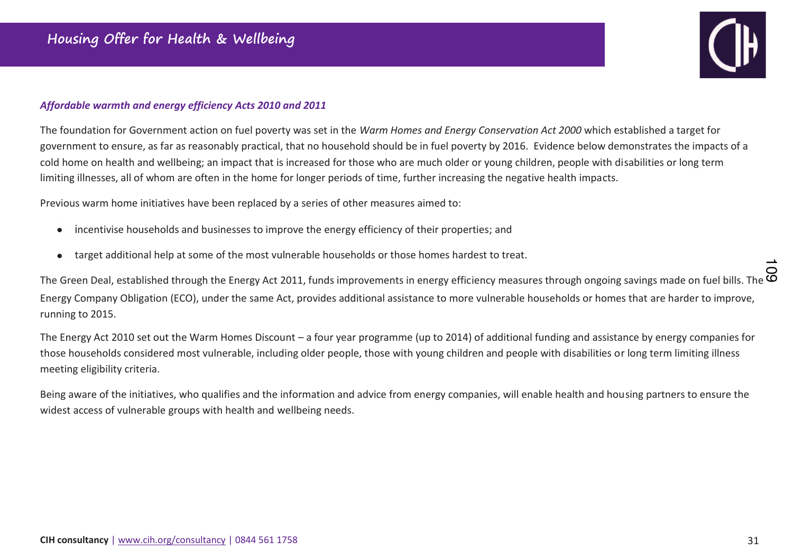

#### *Affordable warmth and energy efficiency Acts 2010 and 2011*

The foundation for Government action on fuel poverty was set in the *Warm Homes and Energy Conservation Act 2000* which established a target for government to ensure, as far as reasonably practical, that no household should be in fuel poverty by 2016. Evidence below demonstrates the impacts of a cold home on health and wellbeing; an impact that is increased for those who are much older or young children, people with disabilities or long term limiting illnesses, all of whom are often in the home for longer periods of time, further increasing the negative health impacts.

Previous warm home initiatives have been replaced by a series of other measures aimed to:

- Incentivise households and businesses to improve the energy efficiency of their properties; and  $\bullet$
- target additional help at some of the most vulnerable households or those homes hardest to treat.  $\bullet$

the Green Deal, established through the Energy Act 2011, funds improvements in energy efficiency measures through ongoing savings made on fuel bills. The ○<br>© The Green Deal, established through the Energy Act 2011, funds Energy Company Obligation (ECO), under the same Act, provides additional assistance to more vulnerable households or homes that are harder to improve, running to 2015.

The Energy Act 2010 set out the Warm Homes Discount – a four year programme (up to 2014) of additional funding and assistance by energy companies for those households considered most vulnerable, including older people, those with young children and people with disabilities or long term limiting illness meeting eligibility criteria.

Being aware of the initiatives, who qualifies and the information and advice from energy companies, will enable health and housing partners to ensure the widest access of vulnerable groups with health and wellbeing needs.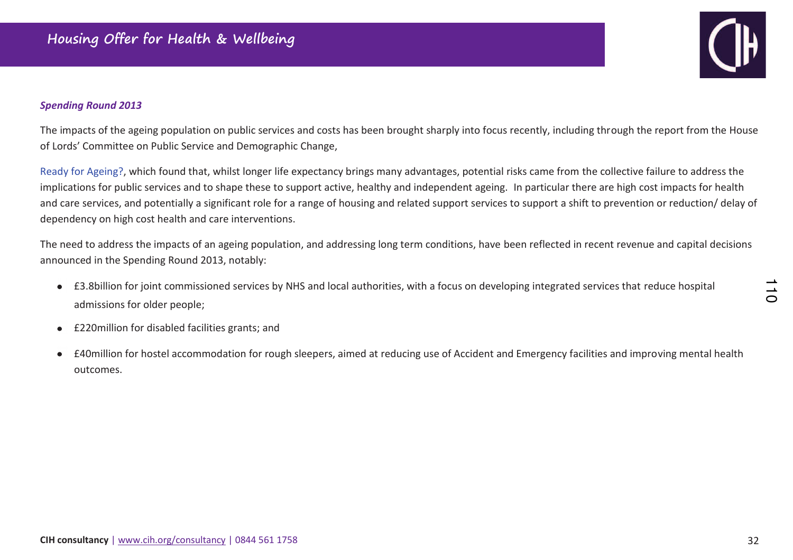#### *Spending Round 2013*

The impacts of the ageing population on public services and costs has been brought sharply into focus recently, including through the report from the House of Lords' Committee on Public Service and Demographic Change,

Ready for Ageing?, which found that, whilst longer life expectancy brings many advantages, potential risks came from the collective failure to address the implications for public services and to shape these to support active, healthy and independent ageing. In particular there are high cost impacts for health and care services, and potentially a significant role for a range of housing and related support services to support a shift to prevention or reduction/ delay of dependency on high cost health and care interventions.

The need to address the impacts of an ageing population, and addressing long term conditions, have been reflected in recent revenue and capital decisions announced in the Spending Round 2013, notably:

- £3.8billion for joint commissioned services by NHS and local authorities, with a focus on developing integrated services that reduce hospital admissions for older people;
- £220 million for disabled facilities grants; and  $\bullet$
- £40million for hostel accommodation for rough sleepers, aimed at reducing use of Accident and Emergency facilities and improving mental health outcomes.

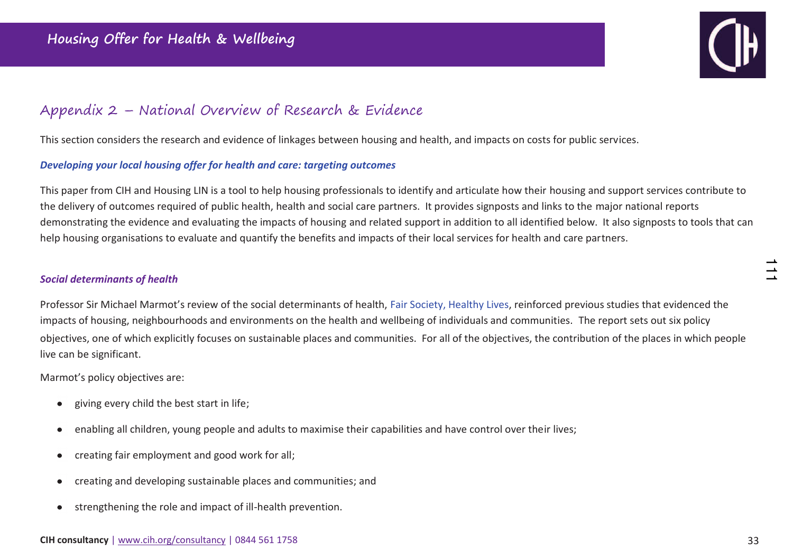

## Appendix 2 – National Overview of Research & Evidence

This section considers the research and evidence of linkages between housing and health, and impacts on costs for public services.

#### *Developing your local housing offer for health and care: targeting outcomes*

This paper from CIH and Housing LIN is a tool to help housing professionals to identify and articulate how their housing and support services contribute to the delivery of outcomes required of public health, health and social care partners. It provides signposts and links to the major national reports demonstrating the evidence and evaluating the impacts of housing and related support in addition to all identified below. It also signposts to tools that can help housing organisations to evaluate and quantify the benefits and impacts of their local services for health and care partners.

#### *Social determinants of health*

Professor Sir Michael Marmot's review of the social determinants of health, Fair Society, Healthy Lives, reinforced previous studies that evidenced the impacts of housing, neighbourhoods and environments on the health and wellbeing of individuals and communities. The report sets out six policy objectives, one of which explicitly focuseƐ on sustainable places and communities. For all of the objectives, the contribution of the places in which people live can be significant.

Marmot's policy objectives are:

- giving every child the best start in life;  $\bullet$
- enabling all children, young people and adults to maximise their capabilities and have control over their lives;  $\bullet$
- creating fair employment and good work for all;  $\bullet$
- creating and developing sustainable places and communities; and  $\bullet$
- strengthening the role and impact of ill-health prevention.  $\bullet$

 $\frac{1}{1}$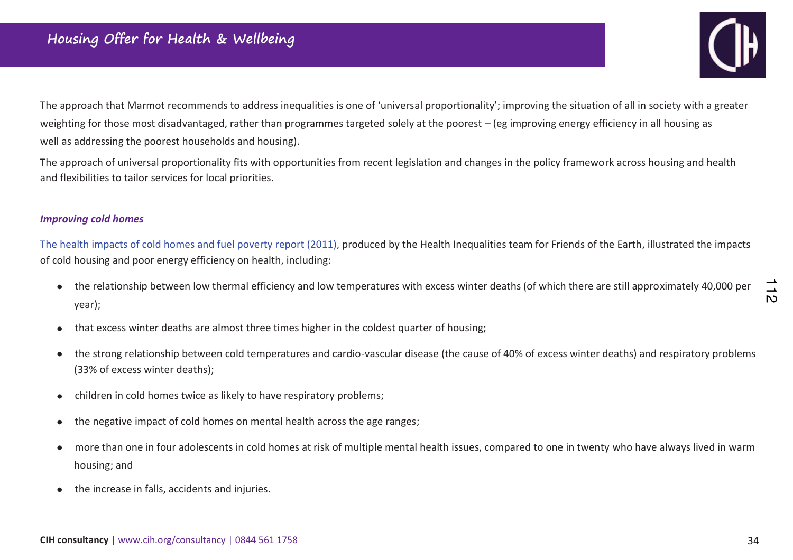

The approach that Marmot recommends to address inequalities is one of 'universal proportionality'; improving the situation of all in society with a greater weighting for those most disadvantaged, rather than programmes targeted solely at the poorest – (eg improving energy efficiency in all housing as well as addressing the poorest households and housing).

The approach of universal proportionality fits with opportunities from recent legislation and changes in the policy framework across housing and health and flexibilities to tailor services for local priorities.

#### *Improving cold homes*

The health impacts of cold homes and fuel poverty report (2011), produced by the Health Inequalities team for Friends of the Earth, illustrated the impacts of cold housing and poor energy efficiency on health, including:

- the relationship between low thermal efficiency and low temperatures with excess winter deaths (of which there are still approximately 40,000 per year);
- that excess winter deaths are almost three times higher in the coldest quarter of housing;
- ƚhe strong relationship between cold temperatures and cardio-vascular disease (the cause of 40% of excess winter deaths) and respiratory problems  $\bullet$ (33% of excess winter deaths);
- children in cold homes twice as likely to have respiratory problems;  $\bullet$
- the negative impact of cold homes on mental health across the age ranges;  $\bullet$
- more than one in four adolescents in cold homes at risk of multiple mental health issues, compared to one in twenty who have always lived in warm  $\bullet$ housing; and
- the increase in falls, accidents and injuries.  $\bullet$

 $\mathsf{D}$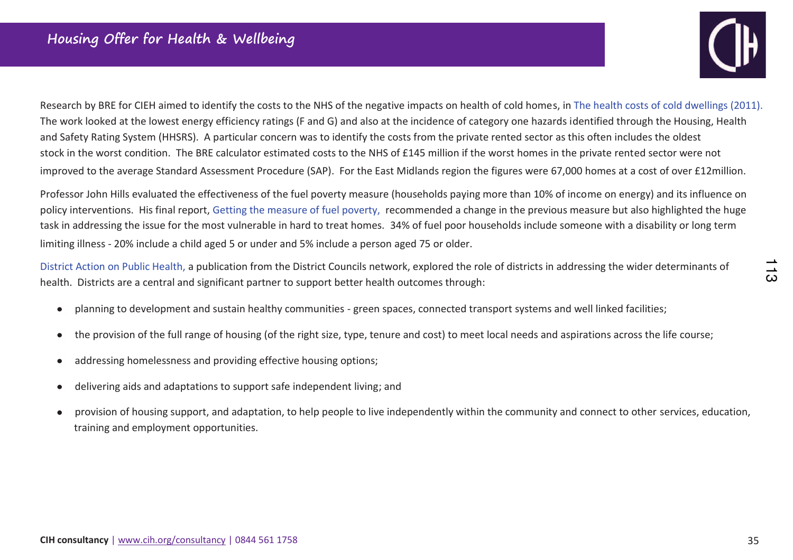

Research by BRE for CIEH aimed to identify the costs to the NHS of the negative impacts on health of cold homes, in The health costs of cold dwellings (2011). The work looked at the lowest energy efficiency ratings (F and G) and also at the incidence of category one hazards identified through the Housing, Health and Safety Rating System (HHSRS). A particular concern was to identify the costs from the private rented sector as this often includes the oldest stock in the worst condition. The BRE calculator estimated costs to the NHS of £145 million if the worst homes in the private rented sector were not improved to the average Standard Assessment Procedure (SAP). For the East Midlands region the figures were 67,000 homes at a cost of over £12million.

Professor John Hills evaluated the effectiveness of the fuel poverty measure (households paying more than 10% of income on energy) and its influence on policy interventions. His final report, Getting the measure of fuel poverty, recommended a change in the previous measure but also highlighted the huge task in addressing the issue for the most vulnerable in hard to treat homes. 34% of fuel poor households include someone with a disability or long term limiting illness - 20% include a child aged 5 or under and 5% include a person aged 75 or older.

District Action on Public Health, a publication from the District Councils network, explored the role of districts in addressing the wider determinants of health. Districts are a central and significant partner to support better health outcomes through:

- planning to development and sustain healthy communities green spaces, connected transport systems and well linked facilities;  $\bullet$
- the provision of the full range of housing (of the right size, type, tenure and cost) to meet local needs and aspirations across the life course;  $\bullet$
- addressing homelessness and providing effective housing options;  $\bullet$
- delivering aids and adaptations to support safe independent living; and  $\bullet$
- provision of housing support, and adaptation, to help people to live independently within the community and connect to other services, education,  $\bullet$ training and employment opportunities.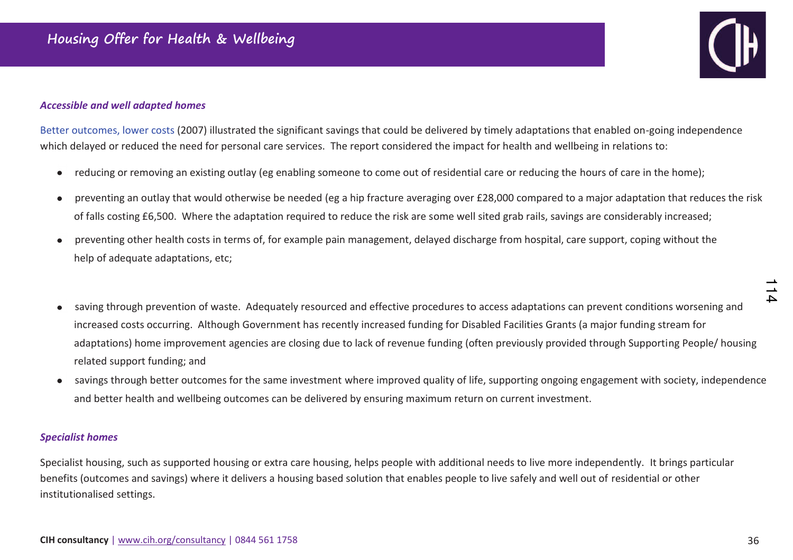#### **Accessible and well adapted homes**



Better outcomes, lower costs (2007) illustrated the significant savings that could be delivered by timely adaptations that enabled on-going independence which delayed or reduced the need for personal care services. The report considered the impact for health and wellbeing in relations to:

- reducing or removing an existing outlay (eg enabling someone to come out of residential care or reducing the hours of care in the home);  $\bullet$
- preventing an outlay that would otherwise be needed (eg a hip fracture averaging over £28,000 compared to a major adaptation that reduces the risk  $\bullet$ of falls costing £6,500. Where the adaptation required to reduce the risk are some well sited grab rails, savings are considerably increased;
- preventing other health costs in terms of, for example pain management, delayed discharge from hospital, care support, coping without the help of adequate adaptations, etc;
- saving through prevention of waste. Adequately resourced and effective procedures to access adaptations can prevent conditions worsening and  $\bullet$ increased costs occurring. Although Government has recently increased funding for Disabled Facilities Grants (a major funding stream for adaptations) home improvement agencies are closing due to lack of revenue funding (often previously provided through Supporting People/ housing related support funding; and
- savings through better outcomes for the same investment where improved quality of life, supporting ongoing engagement with society, independence and better health and wellbeing outcomes can be delivered by ensuring maximum return on current investment.

#### **Specialist homes**

Specialist housing, such as supported housing or extra care housing, helps people with additional needs to live more independently. It brings particular benefits (outcomes and savings) where it delivers a housing based solution that enables people to live safely and well out of residential or other institutionalised settings.

 $\Delta$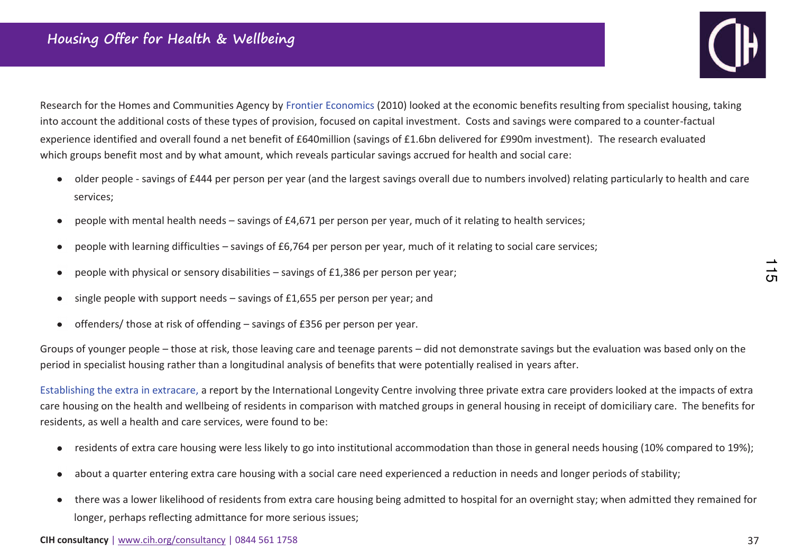

Research for the Homes and Communities Agency by Frontier Economics (2010) looked at the economic benefits resulting from specialist housing, taking into account the additional costs of these types of provision, focused on capital investment. Costs and savings were compared to a counter-factual experience identified and overall found a net benefit of £640million (savings of £1.6bn delivered for £990m investment). The research evaluated which groups benefit most and by what amount, which reveals particular savings accrued for health and social care:

- older people savings of £444 per person per year (and the largest savings overall due to numbers involved) relating particularly to health and care services;
- people with mental health needs savings of £4,671 per person per year, much of it relating to health services;  $\bullet$
- people with learning difficulties savings of  $£6,764$  per person per year, much of it relating to social care services;  $\bullet$
- people with physical or sensory disabilities savings of £1,386 per person per year;  $\bullet$
- single people with support needs savings of  $£1,655$  per person per year; and  $\bullet$
- offenders/ those at risk of offending savings of £356 per person per year.  $\bullet$

Groups of younger people – those at risk, those leaving care and teenage parents – did not demonstrate savings but the evaluation was based only on the period in specialist housing rather than a longitudinal analysis of benefits that were potentially realised in years after.

Establishing the extra in extracare, a report by the International Longevity Centre involving three private extra care providers looked at the impacts of extra care housing on the health and wellbeing of residents in comparison with matched groups in general housing in receipt of domiciliary care. The benefits for residents, as well a health and care services, were found to be:

- residents of extra care housing were less likely to go into institutional accommodation than those in general needs housing (10% compared to 19%);  $\bullet$
- about a quarter entering extra care housing with a social care need experienced a reduction in needs and longer periods of stability;  $\bullet$
- ƚhere was a lower likelihood of residents from extra care housing being admitted to hospital for an overnight stay; when admitted they remained for  $\bullet$ longer, perhaps reflecting admittance for more serious issues;

 $\frac{1}{5}$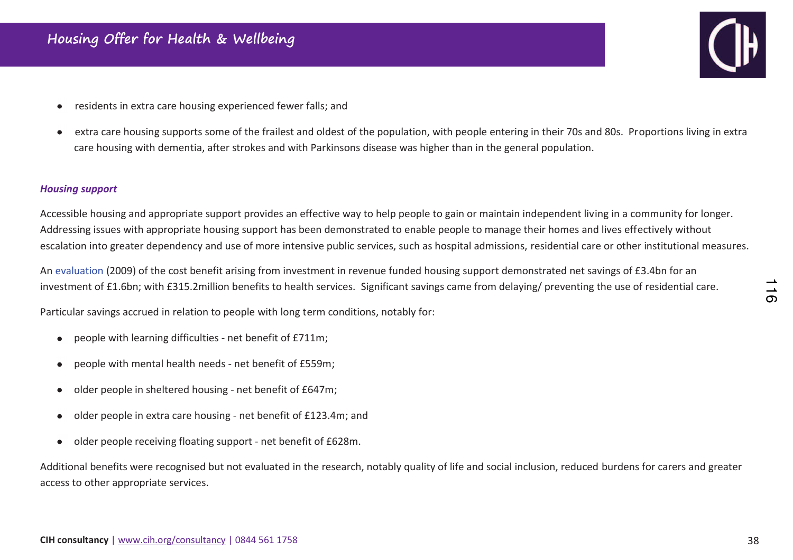- residents in extra care housing experienced fewer falls; and  $\bullet$
- extra care housing supports some of the frailest and oldest of the population, with people entering in their 70s and 80s. Proportions living in extra  $\bullet$ care housing with dementia, after strokes and with Parkinsons disease was higher than in the general population.

#### *Housing support*

Accessible housing and appropriate support provides an effective way to help people to gain or maintain independent living in a community for longer. Addressing issues with appropriate housing support has been demonstrated to enable people to manage their homes and lives effectively without escalation into greater dependency and use of more intensive public services, such as hospital admissions, residential care or other institutional measures.

An evaluation (2009) of the cost benefit arising from investment in revenue funded housing support demonstrated net savings of £3.4bn for an investment of £1.6bn; with £315.2million benefits to health services. Significant savings came from delaying/ preventing the use of residential care.

Particular savings accrued in relation to people with long term conditions, notably for:

- people with learning difficulties net benefit of £711m;  $\bullet$
- people with mental health needs net benefit of £559m;  $\bullet$
- older people in sheltered housing net benefit of £647m;  $\bullet$
- older people in extra care housing net benefit of £123.4m; and
- older people receiving floating support net benefit of £628m.  $\bullet$

Additional benefits were recognised but not evaluated in the research, notably quality of life and social inclusion, reduced burdens for carers and greater access to other appropriate services.

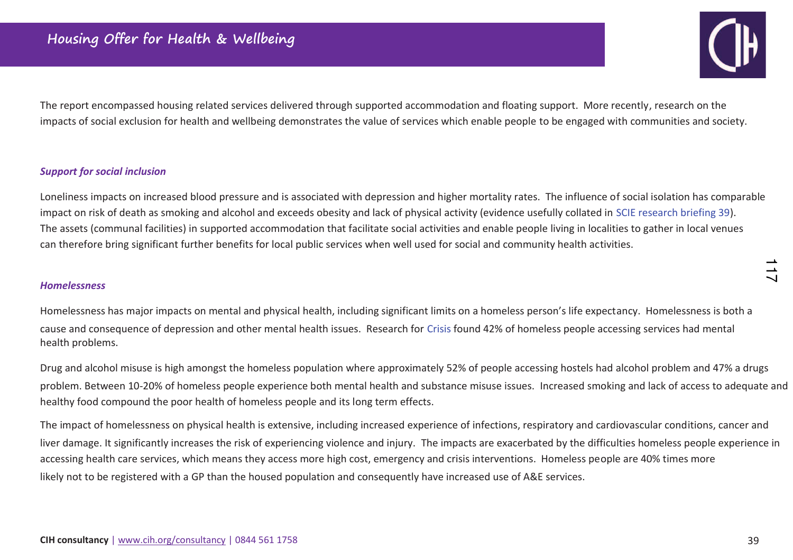

The report encompassed housing related services delivered through supported accommodation and floating support. More recently, research on the impacts of social exclusion for health and wellbeing demonstrates the value of services which enable people to be engaged with communities and society.

#### *Support for social inclusion*

Loneliness impacts on increased blood pressure and is associated with depression and higher mortality rates. The influence of social isolation has comparable impact on risk of death as smoking and alcohol and exceeds obesity and lack of physical activity (evidence usefully collated in SCIE research briefing 39). The assets (communal facilities) in supported accommodation that facilitate social activities and enable people living in localities to gather in local venues can therefore bring significant further benefits for local public services when well used for social and community health activities.

#### *Homelessness*

Homelessness has major impacts on mental and physical health, including significant limits on a homeless person's life expectancy. Homelessness is both a cause and consequence of depression and other mental health issues. Research for Crisis found 42% of homeless people accessing services had mental health problems.

Drug and alcohol misuse is high amongst the homeless population where approximately 52% of people accessing hostels had alcohol problem and 47% a drugs problem. Between 10-20% of homeless people experience both mental health and substance misuse issues. Increased smoking and lack of access to adequate and healthy food compound the poor health of homeless people and its long term effects.

The impact of homelessness on physical health is extensive, including increased experience of infections, respiratory and cardiovascular conditions, cancer and liver damage. It significantly increases the risk of experiencing violence and injury. The impacts are exacerbated by the difficulties homeless people experience in accessing health care services, which means they access more high cost, emergency and crisis interventions. Homeless people are 40% times more likely not to be registered with a GP than the housed population and consequently have increased use of A&E services.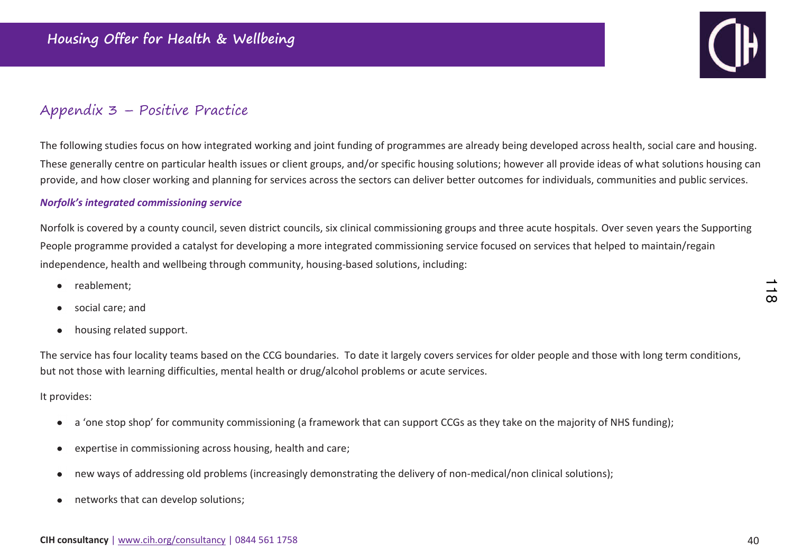

## Appendix 3 - Positive Practice

The following studies focus on how integrated working and joint funding of programmes are already being developed across health, social care and housing. These generally centre on particular health issues or client groups, and/or specific housing solutions; however all provide ideas of what solutions housing can provide, and how closer working and planning for services across the sectors can deliver better outcomes for individuals, communities and public services.

#### **Norfolk's integrated commissioning service**

Norfolk is covered by a county council, seven district councils, six clinical commissioning groups and three acute hospitals. Over seven years the Supporting People programme provided a catalyst for developing a more integrated commissioning service focused on services that helped to maintain/regain independence, health and wellbeing through community, housing-based solutions, including:

- reablement:  $\bullet$
- social care; and  $\bullet$
- housing related support.  $\bullet$

The service has four locality teams based on the CCG boundaries. To date it largely covers services for older people and those with long term conditions, but not those with learning difficulties, mental health or drug/alcohol problems or acute services.

It provides:

- a 'one stop shop' for community commissioning (a framework that can support CCGs as they take on the majority of NHS funding);  $\bullet$
- expertise in commissioning across housing, health and care;  $\bullet$
- new ways of addressing old problems (increasingly demonstrating the delivery of non-medical/non clinical solutions);  $\bullet$
- networks that can develop solutions;  $\bullet$

 $\infty$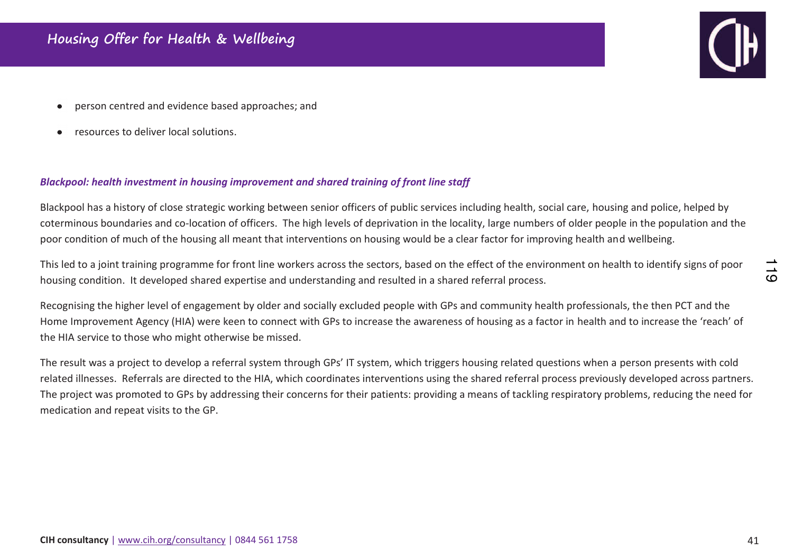- person centred and evidence based approaches; and
- ƌesources to deliver local solutions.

#### *Blackpool: health investment in housing improvement and shared training of front line staff*

Blackpool has a history of close strategic working between senior officers of public services including health, social care, housing and police, helped by coterminous boundaries and co-location of officers. The high levels of deprivation in the locality, large numbers of older people in the population and the poor condition of much of the housing all meant that interventions on housing would be a clear factor for improving health and wellbeing.

This led to a joint training programme for front line workers across the sectors, based on the effect of the environment on health to identify signs of poor housing condition. It developed shared expertise and understanding and resulted in a shared referral process.

Recognising the higher level of engagement by older and socially excluded people with GPs and community health professionals, the then PCT and the Home Improvement Agency (HIA) were keen to connect with GPs to increase the awareness of housing as a factor in health and to increase the 'reach' of the HIA service to those who might otherwise be missed.

The result was a project to develop a referral system through GPs' IT system, which triggers housing related questions when a person presents with cold related illnesses. Referrals are directed to the HIA, which coordinates interventions using the shared referral process previously developed across partners. The project was promoted to GPs by addressing their concerns for their patients: providing a means of tackling respiratory problems, reducing the need for medication and repeat visits to the GP.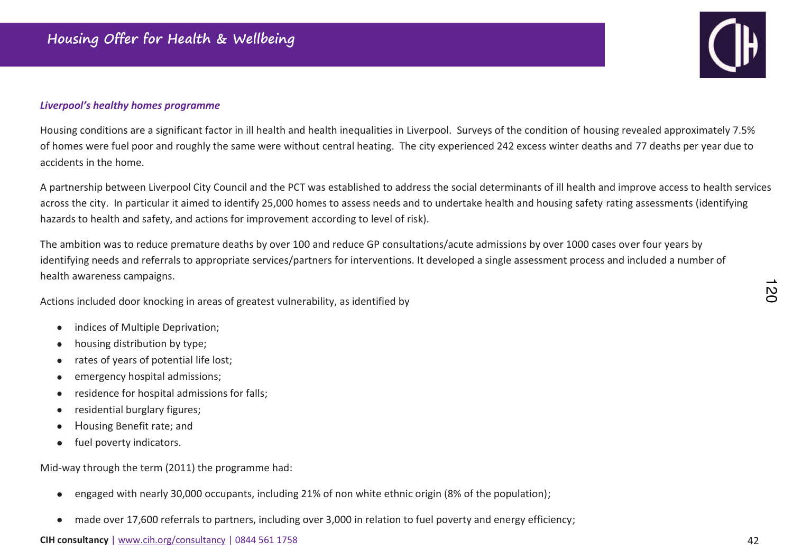#### Liverpool's healthy homes programme

Housing conditions are a significant factor in ill health and health inequalities in Liverpool. Surveys of the condition of housing revealed approximately 7.5% of homes were fuel poor and roughly the same were without central heating. The city experienced 242 excess winter deaths and 77 deaths per year due to accidents in the home.

A partnership between Liverpool City Council and the PCT was established to address the social determinants of ill health and improve access to health services across the city. In particular it aimed to identify 25,000 homes to assess needs and to undertake health and housing safety rating assessments (identifying hazards to health and safety, and actions for improvement according to level of risk).

The ambition was to reduce premature deaths by over 100 and reduce GP consultations/acute admissions by over 1000 cases over four years by identifying needs and referrals to appropriate services/partners for interventions. It developed a single assessment process and included a number of health awareness campaigns.

Actions included door knocking in areas of greatest vulnerability, as identified by

- indices of Multiple Deprivation;  $\bullet$
- housing distribution by type;  $\bullet$
- rates of years of potential life lost;  $\bullet$
- emergency hospital admissions;  $\bullet$
- residence for hospital admissions for falls;  $\bullet$
- residential burglary figures;  $\bullet$
- Housing Benefit rate; and  $\bullet$
- fuel poverty indicators.  $\bullet$

Mid-way through the term (2011) the programme had:

- engaged with nearly 30,000 occupants, including 21% of non white ethnic origin (8% of the population);  $\bullet$
- made over 17,600 referrals to partners, including over 3,000 in relation to fuel poverty and energy efficiency;  $\bullet$

#### CIH consultancy | www.cih.org/consultancy | 0844 561 1758

 $\overline{C}$ 

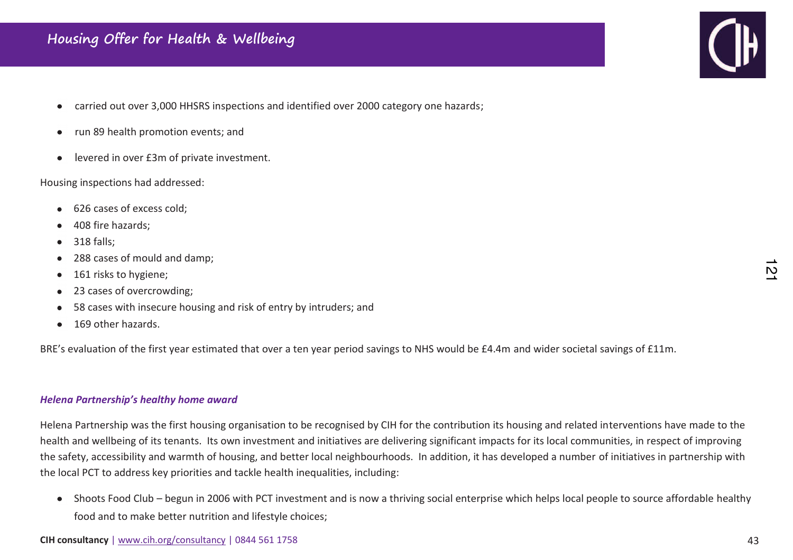- carried out over 3,000 HHSRS inspections and identified over 2000 category one hazards;  $\bullet$
- run 89 health promotion events; and  $\bullet$
- levered in over £3m of private investment.  $\bullet$

Housing inspections had addressed:

- 626 cases of excess cold;
- 408 fire hazards:
- 318 falls:  $\bullet$
- 288 cases of mould and damp;  $\bullet$
- 161 risks to hygiene;  $\bullet$
- 23 cases of overcrowding;  $\bullet$
- 58 cases with insecure housing and risk of entry by intruders; and
- 169 other hazards.

BRE's evaluation of the first year estimated that over a ten year period savings to NHS would be £4.4m and wider societal savings of £11m.

#### *Helena Partnership's healthy home award*

Helena Partnership was the first housing organisation to be recognised by CIH for the contribution its housing and related interventions have made to the health and wellbeing of its tenants. Its own investment and initiatives are delivering significant impacts for its local communities, in respect of improvingthe safety, accessibility and warmth of housing, and better local neighbourhoods. In addition, it has developed a number of initiatives in partnership with the local PCT to address key priorities and tackle health inequalities, including:

• Shoots Food Club – begun in 2006 with PCT investment and is now a thriving social enterprise which helps local people to source affordable healthy food and to make better nutrition and lifestyle choices;



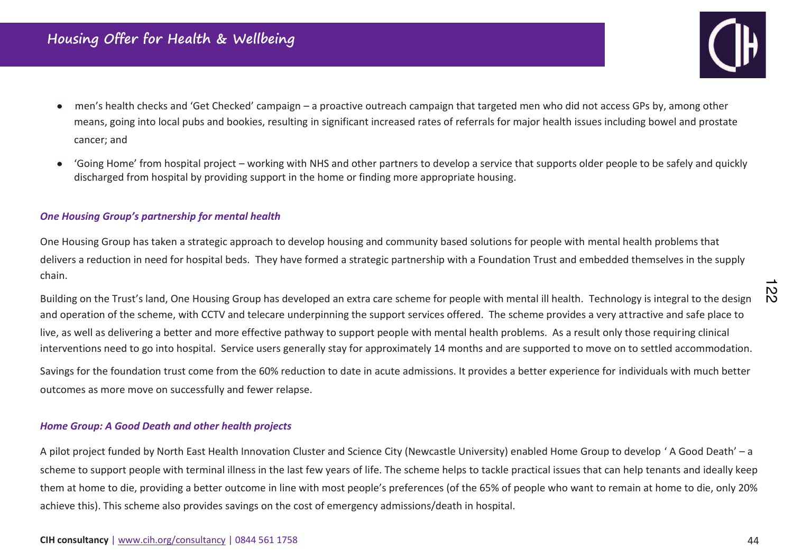

- men's health checks and 'Get Checked' campaign a proactive outreach campaign that targeted men who did not access GPs by, among other  $\bullet$ means, going into local pubs and bookies, resulting in significant increased rates of referrals for major health issues including bowel and prostate cancer; and
- 'Going Home' from hospital project working with NHS and other partners to develop a service that supports older people to be safely and quickly  $\bullet$ discharged from hospital by providing support in the home or finding more appropriate housing.

#### *One Housing Group's partnership for mental health*

One Housing Group has taken a strategic approach to develop housing and community based solutions for people with mental health problems that delivers a reduction in need for hospital beds. They have formed a strategic partnership with a Foundation Trust and embedded themselves in the supply chain.

Building on the Trust's land, One Housing Group has developed an extra care scheme for people with mental ill health. Technology is integral to the design and operation of the scheme, with CCTV and telecare underpinning the support services offered. The scheme provides a very attractive and safe place to live, as well as delivering a better and more effective pathway to support people with mental health problems. As a result only those requiring clinical interventions need to go into hospital. Service users generally stay for approximately 14 months and are supported to move on to settled accommodation.

Savings for the foundation trust come from the 60% reduction to date in acute admissions. It provides a better experience for individuals with much better outcomes as more move on successfully and fewer relapse.

#### *Home Group: A Good Death and other health projects*

A pilot project funded by North East Health Innovation Cluster and Science City (Newcastle University) enabled Home Group to develop ' A Good Death' – a scheme to support people with terminal illness in the last few years of life. The scheme helps to tackle practical issues that can help tenants and ideally keep them at home to die, providing a better outcome in line with most people's preferences (of the 65% of people who want to remain at home to die, only 20% achieve this). This scheme also provides savings on the cost of emergency admissions/death in hospital.

 $\frac{12}{2}$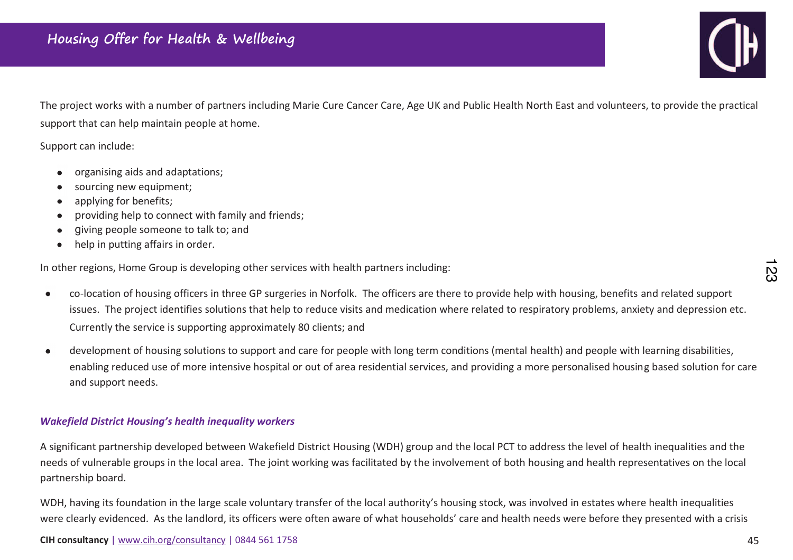

The project works with a number of partners including Marie Cure Cancer Care, Age UK and Public Health North East and volunteers, to provide the practical support that can help maintain people at home.

Support can include:

- organising aids and adaptations;  $\bullet$
- sourcing new equipment;
- applying for benefits;  $\bullet$
- providing help to connect with family and friends;  $\bullet$
- giving people someone to talk to; and  $\bullet$
- help in putting affairs in order.  $\bullet$

In other regions, Home Group is developing other services with health partners including:

- Đo-location of housing officers in three GP surgeries in Norfolk. The officers are there to provide help with housing, benefits and related support  $\bullet$ issues. The project identifies solutions that help to reduce visits and medication where related to respiratory problems, anxiety and depression etc. Currently the service is supporting approximately 80 clients; and
- development of housing solutions to support and care for people with long term conditions (mental health) and people with learning disabilities,  $\bullet$ enabling reduced use of more intensive hospital or out of area residential services, and providing a more personalised housing based solution for care and support needs.

#### *Wakefield District Housing's health inequality workers*

A significant partnership developed between Wakefield District Housing (WDH) group and the local PCT to address the level of health inequalities and the needs of vulnerable groups in the local area. The joint working was facilitated by the involvement of both housing and health representatives on the local partnership board.

WDH, having its foundation in the large scale voluntary transfer of the local authority's housing stock, was involved in estates where health inequalities were clearly evidenced. As the landlord, its officers were often aware of what households' care and health needs were before they presented with a crisis

<u>ي</u><br>م